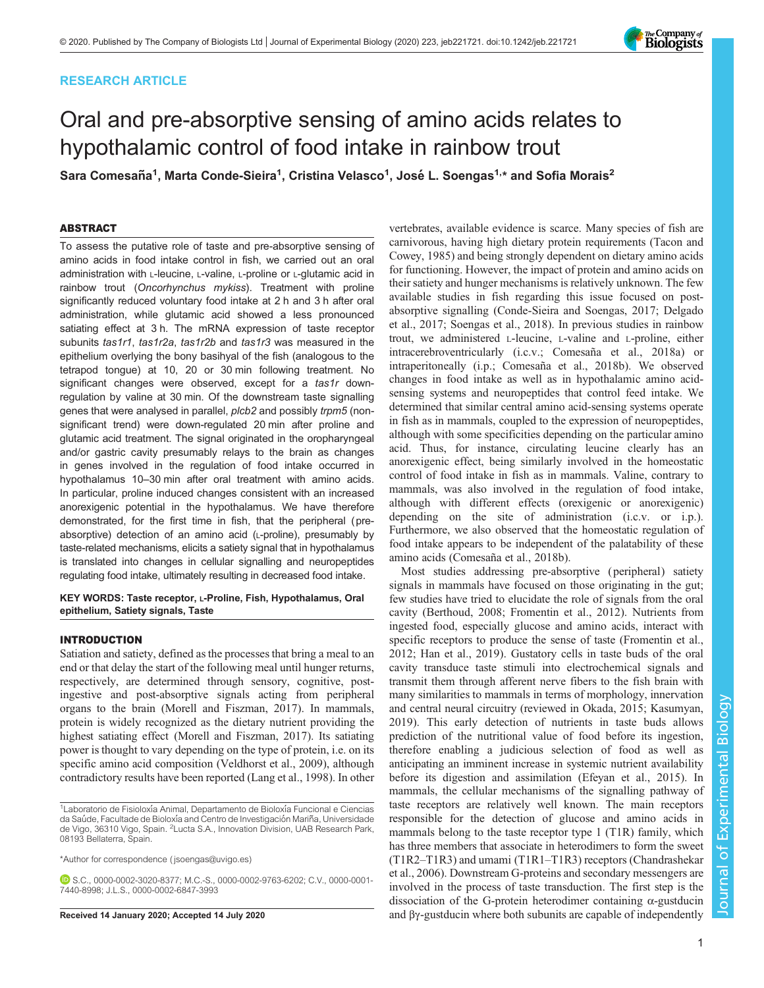# RESEARCH ARTICLE

# Oral and pre-absorptive sensing of amino acids relates to hypothalamic control of food intake in rainbow trout

Sara Comesaña<sup>1</sup>, Marta Conde-Sieira<sup>1</sup>, Cristina Velasco<sup>1</sup>, José L. Soengas<sup>1,</sup>\* and Sofia Morais<sup>2</sup>

## ABSTRACT

To assess the putative role of taste and pre-absorptive sensing of amino acids in food intake control in fish, we carried out an oral administration with L-leucine, L-valine, L-proline or L-glutamic acid in rainbow trout (Oncorhynchus mykiss). Treatment with proline significantly reduced voluntary food intake at 2 h and 3 h after oral administration, while glutamic acid showed a less pronounced satiating effect at 3 h. The mRNA expression of taste receptor subunits tas1r1, tas1r2a, tas1r2b and tas1r3 was measured in the epithelium overlying the bony basihyal of the fish (analogous to the tetrapod tongue) at 10, 20 or 30 min following treatment. No significant changes were observed, except for a tas1r downregulation by valine at 30 min. Of the downstream taste signalling genes that were analysed in parallel, plcb2 and possibly trpm5 (nonsignificant trend) were down-regulated 20 min after proline and glutamic acid treatment. The signal originated in the oropharyngeal and/or gastric cavity presumably relays to the brain as changes in genes involved in the regulation of food intake occurred in hypothalamus 10–30 min after oral treatment with amino acids. In particular, proline induced changes consistent with an increased anorexigenic potential in the hypothalamus. We have therefore demonstrated, for the first time in fish, that the peripheral (preabsorptive) detection of an amino acid (L-proline), presumably by taste-related mechanisms, elicits a satiety signal that in hypothalamus is translated into changes in cellular signalling and neuropeptides regulating food intake, ultimately resulting in decreased food intake.

KEY WORDS: Taste receptor, L-Proline, Fish, Hypothalamus, Oral epithelium, Satiety signals, Taste

#### INTRODUCTION

Satiation and satiety, defined as the processes that bring a meal to an end or that delay the start of the following meal until hunger returns, respectively, are determined through sensory, cognitive, postingestive and post-absorptive signals acting from peripheral organs to the brain [\(Morell and Fiszman, 2017\)](#page-13-0). In mammals, protein is widely recognized as the dietary nutrient providing the highest satiating effect ([Morell and Fiszman, 2017](#page-13-0)). Its satiating power is thought to vary depending on the type of protein, i.e. on its specific amino acid composition ([Veldhorst et al., 2009\)](#page-14-0), although contradictory results have been reported [\(Lang et al., 1998\)](#page-13-0). In other

\*Author for correspondence [\( jsoengas@uvigo.es\)](mailto:jsoengas@uvigo.es)

vertebrates, available evidence is scarce. Many species of fish are carnivorous, having high dietary protein requirements ([Tacon and](#page-14-0) [Cowey, 1985](#page-14-0)) and being strongly dependent on dietary amino acids for functioning. However, the impact of protein and amino acids on their satiety and hunger mechanisms is relatively unknown. The few available studies in fish regarding this issue focused on postabsorptive signalling ([Conde-Sieira and Soengas, 2017; Delgado](#page-13-0) [et al., 2017](#page-13-0); [Soengas et al., 2018](#page-14-0)). In previous studies in rainbow trout, we administered L-leucine, L-valine and L-proline, either intracerebroventricularly (i.c.v.; [Comesaña et al., 2018a\)](#page-13-0) or intraperitoneally (i.p.; [Comesaña et al., 2018b\)](#page-13-0). We observed changes in food intake as well as in hypothalamic amino acidsensing systems and neuropeptides that control feed intake. We determined that similar central amino acid-sensing systems operate in fish as in mammals, coupled to the expression of neuropeptides, although with some specificities depending on the particular amino acid. Thus, for instance, circulating leucine clearly has an anorexigenic effect, being similarly involved in the homeostatic control of food intake in fish as in mammals. Valine, contrary to mammals, was also involved in the regulation of food intake, although with different effects (orexigenic or anorexigenic) depending on the site of administration (i.c.v. or i.p.). Furthermore, we also observed that the homeostatic regulation of food intake appears to be independent of the palatability of these amino acids [\(Comesaña et al., 2018b](#page-13-0)).

Most studies addressing pre-absorptive ( peripheral) satiety signals in mammals have focused on those originating in the gut; few studies have tried to elucidate the role of signals from the oral cavity ([Berthoud, 2008; Fromentin et al., 2012](#page-13-0)). Nutrients from ingested food, especially glucose and amino acids, interact with specific receptors to produce the sense of taste ([Fromentin et al.,](#page-13-0) [2012; Han et al., 2019\)](#page-13-0). Gustatory cells in taste buds of the oral cavity transduce taste stimuli into electrochemical signals and transmit them through afferent nerve fibers to the fish brain with many similarities to mammals in terms of morphology, innervation and central neural circuitry (reviewed in [Okada, 2015;](#page-14-0) [Kasumyan,](#page-13-0) [2019\)](#page-13-0). This early detection of nutrients in taste buds allows prediction of the nutritional value of food before its ingestion, therefore enabling a judicious selection of food as well as anticipating an imminent increase in systemic nutrient availability before its digestion and assimilation ([Efeyan et al., 2015\)](#page-13-0). In mammals, the cellular mechanisms of the signalling pathway of taste receptors are relatively well known. The main receptors responsible for the detection of glucose and amino acids in mammals belong to the taste receptor type 1 (T1R) family, which has three members that associate in heterodimers to form the sweet (T1R2–T1R3) and umami (T1R1–T1R3) receptors ([Chandrashekar](#page-13-0) [et al., 2006](#page-13-0)). Downstream G-proteins and secondary messengers are involved in the process of taste transduction. The first step is the dissociation of the G-protein heterodimer containing α-gustducin Received 14 January 2020; Accepted 14 July 2020 and βγ-gustducin where both subunits are capable of independently



<sup>&</sup>lt;sup>1</sup> Laboratorio de Fisioloxía Animal, Departamento de Bioloxía Funcional e Ciencias da Saúde, Facultade de Bioloxía and Centro de Investigación Mariña, Universidade de Vigo, 36310 Vigo, Spain. <sup>2</sup>Lucta S.A., Innovation Division, UAB Research Park, 08193 Bellaterra, Spain.

S.C., [0000-0002-3020-8377;](http://orcid.org/0000-0002-3020-8377) M.C.-S., [0000-0002-9763-6202](http://orcid.org/0000-0002-9763-6202); C.V., [0000-0001-](http://orcid.org/0000-0001-7440-8998) [7440-8998](http://orcid.org/0000-0001-7440-8998); J.L.S., [0000-0002-6847-3993](http://orcid.org/0000-0002-6847-3993)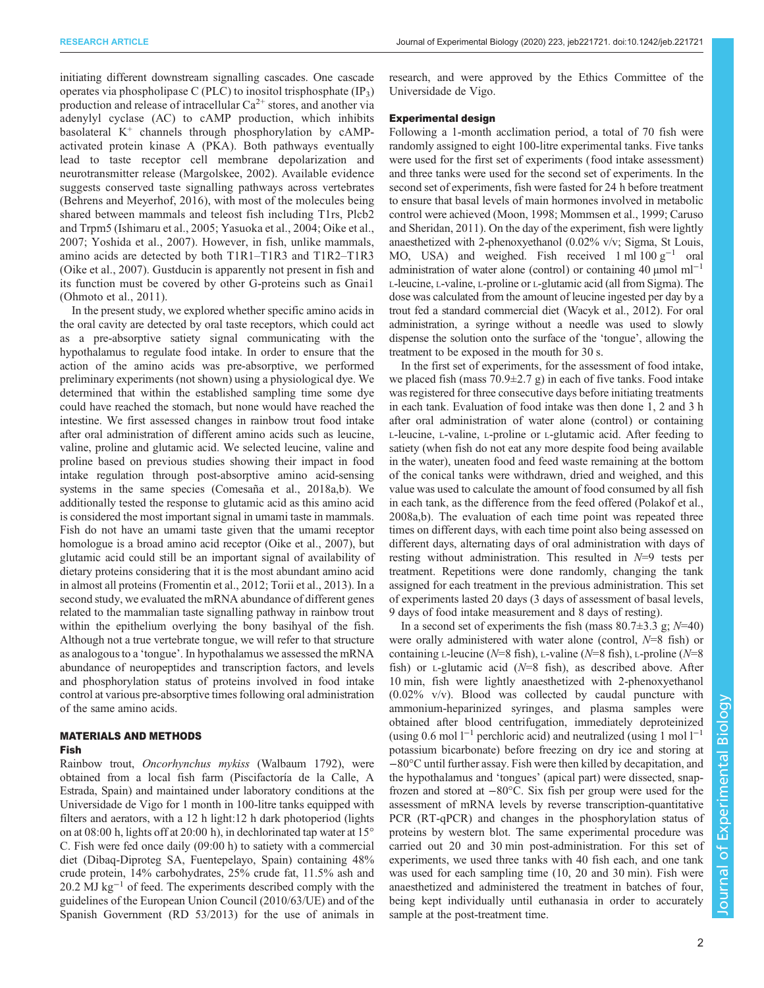initiating different downstream signalling cascades. One cascade operates via phospholipase C (PLC) to inositol trisphosphate  $(\text{IP}_3)$ production and release of intracellular  $Ca^{2+}$  stores, and another via adenylyl cyclase (AC) to cAMP production, which inhibits basolateral  $K^+$  channels through phosphorylation by cAMPactivated protein kinase A (PKA). Both pathways eventually lead to taste receptor cell membrane depolarization and neurotransmitter release ([Margolskee, 2002](#page-13-0)). Available evidence suggests conserved taste signalling pathways across vertebrates [\(Behrens and Meyerhof, 2016](#page-13-0)), with most of the molecules being shared between mammals and teleost fish including T1rs, Plcb2 and Trpm5 ([Ishimaru et al., 2005;](#page-13-0) [Yasuoka et al., 2004; Oike et al.,](#page-14-0) [2007](#page-14-0); [Yoshida et al., 2007](#page-14-0)). However, in fish, unlike mammals, amino acids are detected by both T1R1–T1R3 and T1R2–T1R3 [\(Oike et al., 2007\)](#page-14-0). Gustducin is apparently not present in fish and its function must be covered by other G-proteins such as Gnai1 [\(Ohmoto et al., 2011\)](#page-13-0).

In the present study, we explored whether specific amino acids in the oral cavity are detected by oral taste receptors, which could act as a pre-absorptive satiety signal communicating with the hypothalamus to regulate food intake. In order to ensure that the action of the amino acids was pre-absorptive, we performed preliminary experiments (not shown) using a physiological dye. We determined that within the established sampling time some dye could have reached the stomach, but none would have reached the intestine. We first assessed changes in rainbow trout food intake after oral administration of different amino acids such as leucine, valine, proline and glutamic acid. We selected leucine, valine and proline based on previous studies showing their impact in food intake regulation through post-absorptive amino acid-sensing systems in the same species ([Comesaña et al., 2018a](#page-13-0),[b](#page-13-0)). We additionally tested the response to glutamic acid as this amino acid is considered the most important signal in umami taste in mammals. Fish do not have an umami taste given that the umami receptor homologue is a broad amino acid receptor [\(Oike et al., 2007\)](#page-14-0), but glutamic acid could still be an important signal of availability of dietary proteins considering that it is the most abundant amino acid in almost all proteins [\(Fromentin et al., 2012;](#page-13-0) [Torii et al., 2013\)](#page-14-0). In a second study, we evaluated the mRNA abundance of different genes related to the mammalian taste signalling pathway in rainbow trout within the epithelium overlying the bony basihyal of the fish. Although not a true vertebrate tongue, we will refer to that structure as analogous to a 'tongue'. In hypothalamus we assessed the mRNA abundance of neuropeptides and transcription factors, and levels and phosphorylation status of proteins involved in food intake control at various pre-absorptive times following oral administration of the same amino acids.

# MATERIALS AND METHODS

# Fish

Rainbow trout, Oncorhynchus mykiss (Walbaum 1792), were obtained from a local fish farm (Piscifactoría de la Calle, A Estrada, Spain) and maintained under laboratory conditions at the Universidade de Vigo for 1 month in 100-litre tanks equipped with filters and aerators, with a 12 h light:12 h dark photoperiod (lights on at 08:00 h, lights off at 20:00 h), in dechlorinated tap water at 15° C. Fish were fed once daily (09:00 h) to satiety with a commercial diet (Dibaq-Diproteg SA, Fuentepelayo, Spain) containing 48% crude protein, 14% carbohydrates, 25% crude fat, 11.5% ash and 20.2 MJ kg<sup>-1</sup> of feed. The experiments described comply with the guidelines of the European Union Council (2010/63/UE) and of the Spanish Government (RD 53/2013) for the use of animals in

research, and were approved by the Ethics Committee of the Universidade de Vigo.

#### Experimental design

Following a 1-month acclimation period, a total of 70 fish were randomly assigned to eight 100-litre experimental tanks. Five tanks were used for the first set of experiments (food intake assessment) and three tanks were used for the second set of experiments. In the second set of experiments, fish were fasted for 24 h before treatment to ensure that basal levels of main hormones involved in metabolic control were achieved [\(Moon, 1998](#page-13-0); [Mommsen et al., 1999; Caruso](#page-13-0) [and Sheridan, 2011](#page-13-0)). On the day of the experiment, fish were lightly anaesthetized with 2-phenoxyethanol (0.02% v/v; Sigma, St Louis, MO, USA) and weighed. Fish received 1 ml 100  $g^{-1}$  oral administration of water alone (control) or containing 40  $\mu$ mol ml<sup>-1</sup> L-leucine, L-valine, L-proline or L-glutamic acid (all from Sigma). The dose was calculated from the amount of leucine ingested per day by a trout fed a standard commercial diet ([Wacyk et al., 2012](#page-14-0)). For oral administration, a syringe without a needle was used to slowly dispense the solution onto the surface of the 'tongue', allowing the treatment to be exposed in the mouth for 30 s.

In the first set of experiments, for the assessment of food intake, we placed fish (mass  $70.9 \pm 2.7$  g) in each of five tanks. Food intake was registered for three consecutive days before initiating treatments in each tank. Evaluation of food intake was then done 1, 2 and 3 h after oral administration of water alone (control) or containing L-leucine, L-valine, L-proline or L-glutamic acid. After feeding to satiety (when fish do not eat any more despite food being available in the water), uneaten food and feed waste remaining at the bottom of the conical tanks were withdrawn, dried and weighed, and this value was used to calculate the amount of food consumed by all fish in each tank, as the difference from the feed offered ([Polakof et al.,](#page-14-0) [2008a](#page-14-0),[b](#page-14-0)). The evaluation of each time point was repeated three times on different days, with each time point also being assessed on different days, alternating days of oral administration with days of resting without administration. This resulted in N=9 tests per treatment. Repetitions were done randomly, changing the tank assigned for each treatment in the previous administration. This set of experiments lasted 20 days (3 days of assessment of basal levels, 9 days of food intake measurement and 8 days of resting).

In a second set of experiments the fish (mass  $80.7\pm3.3$  g;  $N=40$ ) were orally administered with water alone (control,  $N=8$  fish) or containing L-leucine ( $N=8$  fish), L-valine ( $N=8$  fish), L-proline ( $N=8$ fish) or  $L$ -glutamic acid ( $N=8$  fish), as described above. After 10 min, fish were lightly anaesthetized with 2-phenoxyethanol (0.02% v/v). Blood was collected by caudal puncture with ammonium-heparinized syringes, and plasma samples were obtained after blood centrifugation, immediately deproteinized (using 0.6 mol  $l^{-1}$  perchloric acid) and neutralized (using 1 mol  $l^{-1}$ potassium bicarbonate) before freezing on dry ice and storing at −80°C until further assay. Fish were then killed by decapitation, and the hypothalamus and 'tongues' (apical part) were dissected, snapfrozen and stored at −80°C. Six fish per group were used for the assessment of mRNA levels by reverse transcription-quantitative PCR (RT-qPCR) and changes in the phosphorylation status of proteins by western blot. The same experimental procedure was carried out 20 and 30 min post-administration. For this set of experiments, we used three tanks with 40 fish each, and one tank was used for each sampling time (10, 20 and 30 min). Fish were anaesthetized and administered the treatment in batches of four, being kept individually until euthanasia in order to accurately sample at the post-treatment time.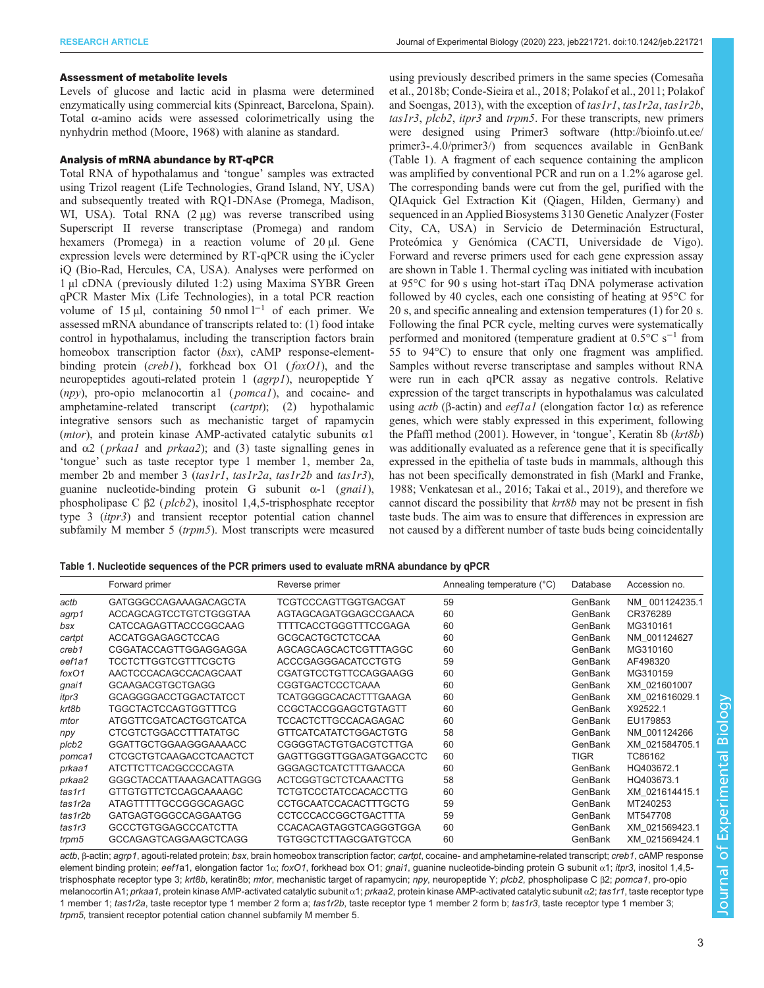#### Assessment of metabolite levels

Levels of glucose and lactic acid in plasma were determined enzymatically using commercial kits (Spinreact, Barcelona, Spain). Total α-amino acids were assessed colorimetrically using the nynhydrin method ([Moore, 1968\)](#page-13-0) with alanine as standard.

## Analysis of mRNA abundance by RT-qPCR

Total RNA of hypothalamus and 'tongue' samples was extracted using Trizol reagent (Life Technologies, Grand Island, NY, USA) and subsequently treated with RQ1-DNAse (Promega, Madison, WI, USA). Total RNA (2 μg) was reverse transcribed using Superscript II reverse transcriptase (Promega) and random hexamers (Promega) in a reaction volume of 20 µl. Gene expression levels were determined by RT-qPCR using the iCycler iQ (Bio-Rad, Hercules, CA, USA). Analyses were performed on 1 µl cDNA ( previously diluted 1:2) using Maxima SYBR Green qPCR Master Mix (Life Technologies), in a total PCR reaction volume of 15 µl, containing 50 nmol  $l^{-1}$  of each primer. We assessed mRNA abundance of transcripts related to: (1) food intake control in hypothalamus, including the transcription factors brain homeobox transcription factor (bsx), cAMP response-elementbinding protein (*creb1*), forkhead box  $O1$  (*foxO1*), and the neuropeptides agouti-related protein 1 (agrp1), neuropeptide Y  $(npy)$ , pro-opio melanocortin al  $(pomcal)$ , and cocaine- and amphetamine-related transcript (cartpt); (2) hypothalamic integrative sensors such as mechanistic target of rapamycin (*mtor*), and protein kinase AMP-activated catalytic subunits  $\alpha$ 1 and  $\alpha$ 2 (*prkaa1* and *prkaa2*); and (3) taste signalling genes in 'tongue' such as taste receptor type 1 member 1, member 2a, member 2b and member 3 (tas1r1, tas1r2a, tas1r2b and tas1r3), guanine nucleotide-binding protein G subunit  $\alpha$ -1 (gnail), phospholipase C <sup>β</sup>2 ( plcb2), inositol 1,4,5-trisphosphate receptor type 3 (itpr3) and transient receptor potential cation channel subfamily M member 5 (trpm5). Most transcripts were measured

using previously described primers in the same species ([Comesaña](#page-13-0) [et al., 2018b; Conde-Sieira et al., 2018](#page-13-0); [Polakof et al., 2011; Polakof](#page-14-0) [and Soengas, 2013\)](#page-14-0), with the exception of  $tash1, taskr2a, taskr2b$ , tas1r3, plcb2, itpr3 and trpm5. For these transcripts, new primers were designed using Primer3 software [\(http://bioinfo.ut.ee/](http://bioinfo.ut.ee/primer3-.4.0/primer3/) [primer3-.4.0/primer3/\)](http://bioinfo.ut.ee/primer3-.4.0/primer3/) from sequences available in GenBank (Table 1). A fragment of each sequence containing the amplicon was amplified by conventional PCR and run on a 1.2% agarose gel. The corresponding bands were cut from the gel, purified with the QIAquick Gel Extraction Kit (Qiagen, Hilden, Germany) and sequenced in an Applied Biosystems 3130 Genetic Analyzer (Foster City, CA, USA) in Servicio de Determinación Estructural, Proteómica y Genómica (CACTI, Universidade de Vigo). Forward and reverse primers used for each gene expression assay are shown in Table 1. Thermal cycling was initiated with incubation at 95°C for 90 s using hot-start iTaq DNA polymerase activation followed by 40 cycles, each one consisting of heating at 95°C for 20 s, and specific annealing and extension temperatures (1) for 20 s. Following the final PCR cycle, melting curves were systematically performed and monitored (temperature gradient at 0.5°C s−<sup>1</sup> from 55 to 94°C) to ensure that only one fragment was amplified. Samples without reverse transcriptase and samples without RNA were run in each qPCR assay as negative controls. Relative expression of the target transcripts in hypothalamus was calculated using *actb* (β-actin) and *eef1a1* (elongation factor  $1α$ ) as reference genes, which were stably expressed in this experiment, following the [Pfaffl method \(2001\)](#page-14-0). However, in 'tongue', Keratin 8b (krt8b) was additionally evaluated as a reference gene that it is specifically expressed in the epithelia of taste buds in mammals, although this has not been specifically demonstrated in fish [\(Markl and Franke,](#page-13-0) [1988;](#page-13-0) [Venkatesan et al., 2016; Takai et al., 2019\)](#page-14-0), and therefore we cannot discard the possibility that krt8b may not be present in fish taste buds. The aim was to ensure that differences in expression are not caused by a different number of taste buds being coincidentally

|  | Table 1. Nucleotide sequences of the PCR primers used to evaluate mRNA abundance by qPCR |  |
|--|------------------------------------------------------------------------------------------|--|
|--|------------------------------------------------------------------------------------------|--|

|         | Forward primer                 | Reverse primer                 | Annealing temperature (°C) | Database    | Accession no.  |
|---------|--------------------------------|--------------------------------|----------------------------|-------------|----------------|
| actb    | <b>GATGGGCCAGAAAGACAGCTA</b>   | <b>TCGTCCCAGTTGGTGACGAT</b>    | 59                         | GenBank     | NM 001124235.1 |
| agrp1   | ACCAGCAGTCCTGTCTGGGTAA         | AGTAGCAGATGGAGCCGAACA          | 60                         | GenBank     | CR376289       |
| bsx     | <b>CATCCAGAGTTACCCGGCAAG</b>   | <b>TTTTCACCTGGGTTTCCGAGA</b>   | 60                         | GenBank     | MG310161       |
| cartpt  | <b>ACCATGGAGAGCTCCAG</b>       | <b>GCGCACTGCTCTCCAA</b>        | 60                         | GenBank     | NM 001124627   |
| creb1   | CGGATACCAGTTGGAGGAGGA          | AGCAGCAGCACTCGTTTAGGC          | 60                         | GenBank     | MG310160       |
| eef1a1  | <b>TCCTCTTGGTCGTTTCGCTG</b>    | <b>ACCCGAGGGACATCCTGTG</b>     | 59                         | GenBank     | AF498320       |
| foxO1   | AACTCCCACAGCCACAGCAAT          | <b>CGATGTCCTGTTCCAGGAAGG</b>   | 60                         | GenBank     | MG310159       |
| gnai1   | <b>GCAAGACGTGCTGAGG</b>        | <b>CGGTGACTCCCTCAAA</b>        | 60                         | GenBank     | XM 021601007   |
| itpr3   | <b>GCAGGGGACCTGGACTATCCT</b>   | <b>TCATGGGGCACACTTTGAAGA</b>   | 60                         | GenBank     | XM 021616029.1 |
| krt8b   | <b>TGGCTACTCCAGTGGTTTCG</b>    | <b>CCGCTACCGGAGCTGTAGTT</b>    | 60                         | GenBank     | X92522.1       |
| mtor    | ATGGTTCGATCACTGGTCATCA         | <b>TCCACTCTTGCCACAGAGAC</b>    | 60                         | GenBank     | EU179853       |
| npy     | <b>CTCGTCTGGACCTTTATATGC</b>   | <b>GTTCATCATATCTGGACTGTG</b>   | 58                         | GenBank     | NM 001124266   |
| plcb2   | <b>GGATTGCTGGAAGGGAAAACC</b>   | <b>CGGGGTACTGTGACGTCTTGA</b>   | 60                         | GenBank     | XM 021584705.1 |
| pomca1  | <b>CTCGCTGTCAAGACCTCAACTCT</b> | <b>GAGTTGGGTTGGAGATGGACCTC</b> | 60                         | <b>TIGR</b> | TC86162        |
| prkaa1  | ATCTTCTTCACGCCCCCAGTA          | <b>GGGAGCTCATCTTTGAACCA</b>    | 60                         | GenBank     | HQ403672.1     |
| prkaa2  | GGGCTACCATTAAAGACATTAGGG       | ACTCGGTGCTCTCAAACTTG           | 58                         | GenBank     | HQ403673.1     |
| tas1r1  | GTTGTGTTCTCCAGCAAAAGC          | TCTGTCCCTATCCACACCTTG          | 60                         | GenBank     | XM 021614415.1 |
| tas1r2a | ATAGTTTTTGCCGGGCAGAGC          | <b>CCTGCAATCCACACTTTGCTG</b>   | 59                         | GenBank     | MT240253       |
| tas1r2b | <b>GATGAGTGGGCCAGGAATGG</b>    | <b>CCTCCCACCGGCTGACTTTA</b>    | 59                         | GenBank     | MT547708       |
| tas1r3  | <b>GCCCTGTGGAGCCCATCTTA</b>    | <b>CCACACAGTAGGTCAGGGTGGA</b>  | 60                         | GenBank     | XM 021569423.1 |
| trpm5   | <b>GCCAGAGTCAGGAAGCTCAGG</b>   | <b>TGTGGCTCTTAGCGATGTCCA</b>   | 60                         | GenBank     | XM 021569424.1 |

actb, β-actin; agrp1, agouti-related protein; bsx, brain homeobox transcription factor; cartpt, cocaine- and amphetamine-related transcript; creb1, cAMP response element binding protein; eef1a1, elongation factor 1α; foxO1, forkhead box O1; gnai1, guanine nucleotide-binding protein G subunit α1; itpr3, inositol 1,4,5trisphosphate receptor type 3; krt8b, keratin8b; mtor, mechanistic target of rapamycin; npy, neuropeptide Y; plcb2, phospholipase C β2; pomca1, pro-opio melanocortin A1; prkaa1, protein kinase AMP-activated catalytic subunit α1; prkaa2, protein kinase AMP-activated catalytic subunit α2; tas1r1, taste receptor type 1 member 1; tas1r2a, taste receptor type 1 member 2 form a; tas1r2b, taste receptor type 1 member 2 form b; tas1r3, taste receptor type 1 member 3; trpm5, transient receptor potential cation channel subfamily M member 5.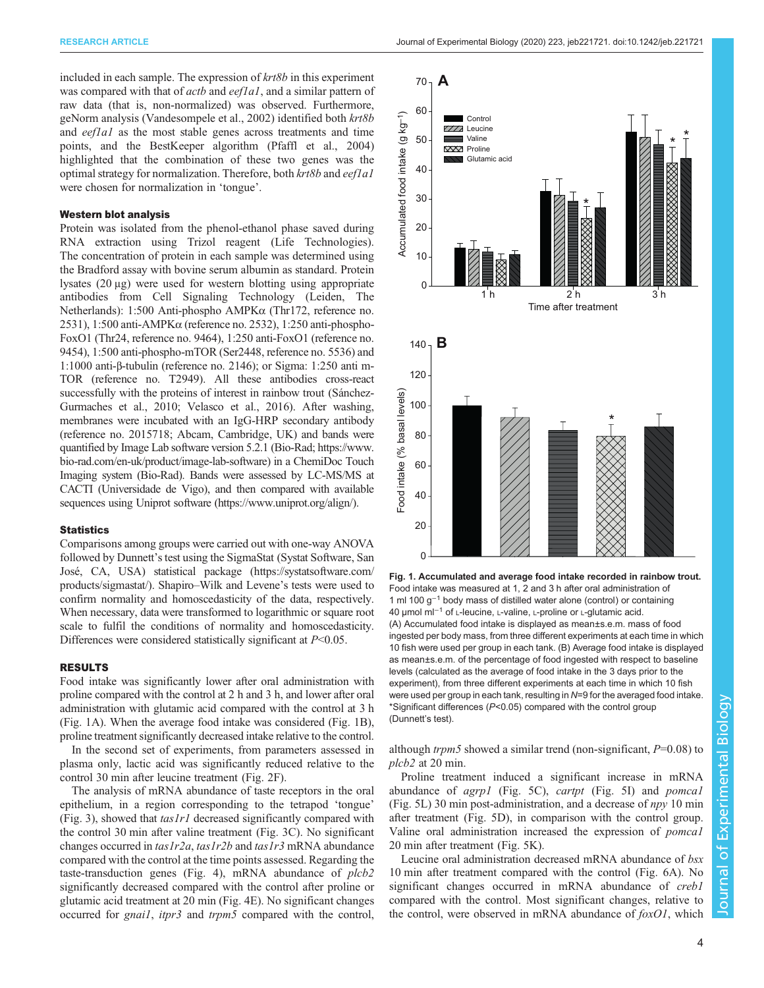included in each sample. The expression of  $krt8b$  in this experiment was compared with that of *actb* and *eef1a1*, and a similar pattern of raw data (that is, non-normalized) was observed. Furthermore, geNorm analysis ([Vandesompele et al., 2002](#page-14-0)) identified both krt8b and  $eeflal$  as the most stable genes across treatments and time points, and the BestKeeper algorithm [\(Pfaffl et al., 2004\)](#page-14-0) highlighted that the combination of these two genes was the optimal strategy for normalization. Therefore, both  $krt8b$  and eef1a1 were chosen for normalization in 'tongue'.

#### Western blot analysis

Protein was isolated from the phenol-ethanol phase saved during RNA extraction using Trizol reagent (Life Technologies). The concentration of protein in each sample was determined using the Bradford assay with bovine serum albumin as standard. Protein lysates (20 μg) were used for western blotting using appropriate antibodies from Cell Signaling Technology (Leiden, The Netherlands): 1:500 Anti-phospho AMPKα (Thr172, reference no. 2531), 1:500 anti-AMPKα (reference no. 2532), 1:250 anti-phospho-FoxO1 (Thr24, reference no. 9464), 1:250 anti-FoxO1 (reference no. 9454), 1:500 anti-phospho-mTOR (Ser2448, reference no. 5536) and 1:1000 anti-β-tubulin (reference no. 2146); or Sigma: 1:250 anti m-TOR (reference no. T2949). All these antibodies cross-react successfully with the proteins of interest in rainbow trout [\(Sánchez-](#page-14-0)[Gurmaches et al., 2010](#page-14-0); [Velasco et al., 2016\)](#page-14-0). After washing, membranes were incubated with an IgG-HRP secondary antibody (reference no. 2015718; Abcam, Cambridge, UK) and bands were quantified by Image Lab software version 5.2.1 (Bio-Rad; [https://www.](https://www.bio-rad.com/en-uk/product/image-lab-software) [bio-rad.com/en-uk/product/image-lab-software](https://www.bio-rad.com/en-uk/product/image-lab-software)) in a ChemiDoc Touch Imaging system (Bio-Rad). Bands were assessed by LC-MS/MS at CACTI (Universidade de Vigo), and then compared with available sequences using Uniprot software ([https://www.uniprot.org/align/\)](https://www.uniprot.org/align/).

#### **Statistics**

Comparisons among groups were carried out with one-way ANOVA followed by Dunnett's test using the SigmaStat (Systat Software, San José, CA, USA) statistical package ([https://systatsoftware.com/](https://systatsoftware.com/products/sigmastat/) [products/sigmastat/\)](https://systatsoftware.com/products/sigmastat/). Shapiro–Wilk and Levene's tests were used to confirm normality and homoscedasticity of the data, respectively. When necessary, data were transformed to logarithmic or square root scale to fulfil the conditions of normality and homoscedasticity. Differences were considered statistically significant at  $P<0.05$ .

#### RESULTS

Food intake was significantly lower after oral administration with proline compared with the control at 2 h and 3 h, and lower after oral administration with glutamic acid compared with the control at 3 h (Fig. 1A). When the average food intake was considered (Fig. 1B), proline treatment significantly decreased intake relative to the control.

In the second set of experiments, from parameters assessed in plasma only, lactic acid was significantly reduced relative to the control 30 min after leucine treatment ([Fig. 2](#page-4-0)F).

The analysis of mRNA abundance of taste receptors in the oral epithelium, in a region corresponding to the tetrapod 'tongue' [\(Fig. 3](#page-5-0)), showed that  $taskr1$  decreased significantly compared with the control 30 min after valine treatment [\(Fig. 3](#page-5-0)C). No significant changes occurred in  $tas1r2a$ ,  $tas1r2b$  and  $tas1r3$  mRNA abundance compared with the control at the time points assessed. Regarding the taste-transduction genes [\(Fig. 4\)](#page-6-0), mRNA abundance of plcb2 significantly decreased compared with the control after proline or glutamic acid treatment at 20 min ([Fig. 4E](#page-6-0)). No significant changes occurred for *gnail*, *itpr3* and *trpm5* compared with the control,



Fig. 1. Accumulated and average food intake recorded in rainbow trout. Food intake was measured at 1, 2 and 3 h after oral administration of 1 ml 100 g−<sup>1</sup> body mass of distilled water alone (control) or containing 40 µmol ml−<sup>1</sup> of L-leucine, L-valine, L-proline or L-glutamic acid. (A) Accumulated food intake is displayed as mean±s.e.m. mass of food ingested per body mass, from three different experiments at each time in which 10 fish were used per group in each tank. (B) Average food intake is displayed as mean±s.e.m. of the percentage of food ingested with respect to baseline levels (calculated as the average of food intake in the 3 days prior to the experiment), from three different experiments at each time in which 10 fish were used per group in each tank, resulting in N=9 for the averaged food intake. \*Significant differences (P<0.05) compared with the control group (Dunnett's test).

although *trpm5* showed a similar trend (non-significant,  $P=0.08$ ) to plcb2 at 20 min.

Proline treatment induced a significant increase in mRNA abundance of agrp1 ([Fig. 5](#page-7-0)C), cartpt [\(Fig. 5I](#page-7-0)) and pomca1 [\(Fig. 5](#page-7-0)L) 30 min post-administration, and a decrease of  $npy$  10 min after treatment [\(Fig. 5D](#page-7-0)), in comparison with the control group. Valine oral administration increased the expression of pomca1 20 min after treatment ([Fig. 5](#page-7-0)K).

Leucine oral administration decreased mRNA abundance of bsx 10 min after treatment compared with the control ([Fig. 6](#page-8-0)A). No significant changes occurred in mRNA abundance of *creb1* compared with the control. Most significant changes, relative to the control, were observed in mRNA abundance of  $f(xO1)$ , which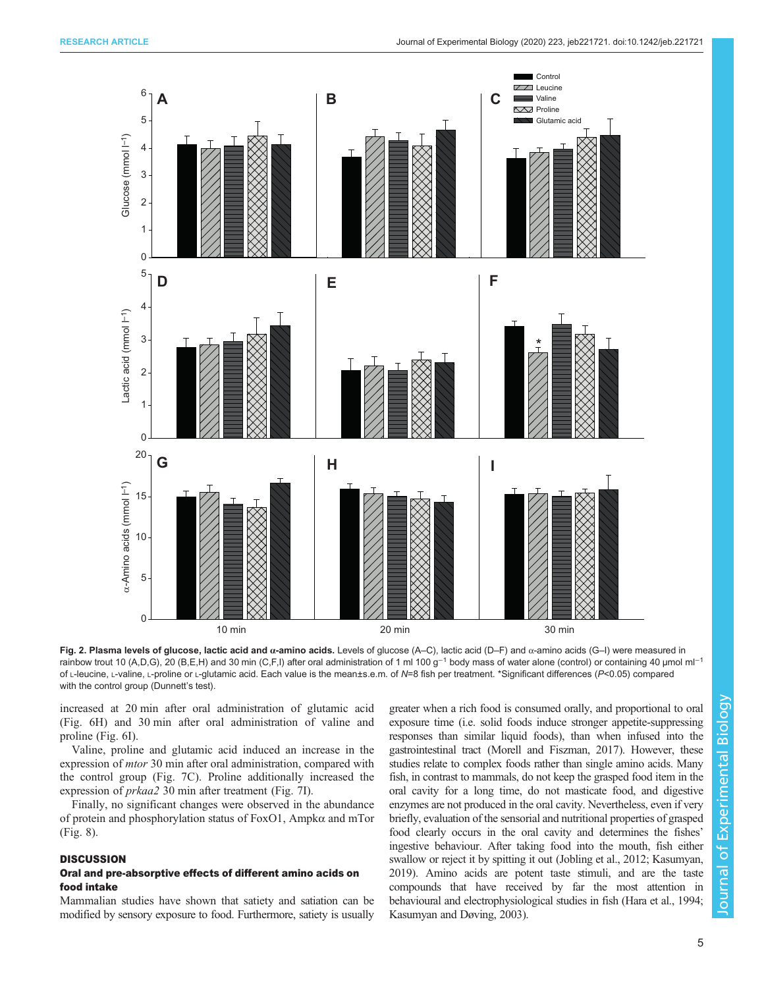<span id="page-4-0"></span>

Fig. 2. Plasma levels of glucose, lactic acid and α-amino acids. Levels of glucose (A–C), lactic acid (D–F) and α-amino acids (G–I) were measured in rainbow trout 10 (A,D,G), 20 (B,E,H) and 30 min (C,F,I) after oral administration of 1 ml 100 g<sup>-1</sup> body mass of water alone (control) or containing 40 µmol ml<sup>-1</sup> of L-leucine, L-valine, L-proline or L-glutamic acid. Each value is the mean±s.e.m. of N=8 fish per treatment. \*Significant differences (P<0.05) compared with the control group (Dunnett's test).

increased at 20 min after oral administration of glutamic acid [\(Fig. 6](#page-8-0)H) and 30 min after oral administration of valine and proline [\(Fig. 6I](#page-8-0)).

Valine, proline and glutamic acid induced an increase in the expression of mtor 30 min after oral administration, compared with the control group [\(Fig. 7](#page-9-0)C). Proline additionally increased the expression of prkaa2 30 min after treatment ([Fig. 7I](#page-9-0)).

Finally, no significant changes were observed in the abundance of protein and phosphorylation status of FoxO1, Ampkα and mTor [\(Fig. 8](#page-10-0)).

#### **DISCUSSION**

#### Oral and pre-absorptive effects of different amino acids on food intake

Mammalian studies have shown that satiety and satiation can be modified by sensory exposure to food. Furthermore, satiety is usually greater when a rich food is consumed orally, and proportional to oral exposure time (i.e. solid foods induce stronger appetite-suppressing responses than similar liquid foods), than when infused into the gastrointestinal tract ([Morell and Fiszman, 2017](#page-13-0)). However, these studies relate to complex foods rather than single amino acids. Many fish, in contrast to mammals, do not keep the grasped food item in the oral cavity for a long time, do not masticate food, and digestive enzymes are not produced in the oral cavity. Nevertheless, even if very briefly, evaluation of the sensorial and nutritional properties of grasped food clearly occurs in the oral cavity and determines the fishes' ingestive behaviour. After taking food into the mouth, fish either swallow or reject it by spitting it out ([Jobling et al., 2012; Kasumyan,](#page-13-0) [2019](#page-13-0)). Amino acids are potent taste stimuli, and are the taste compounds that have received by far the most attention in behavioural and electrophysiological studies in fish [\(Hara et al., 1994](#page-13-0); [Kasumyan and Døving, 2003\)](#page-13-0).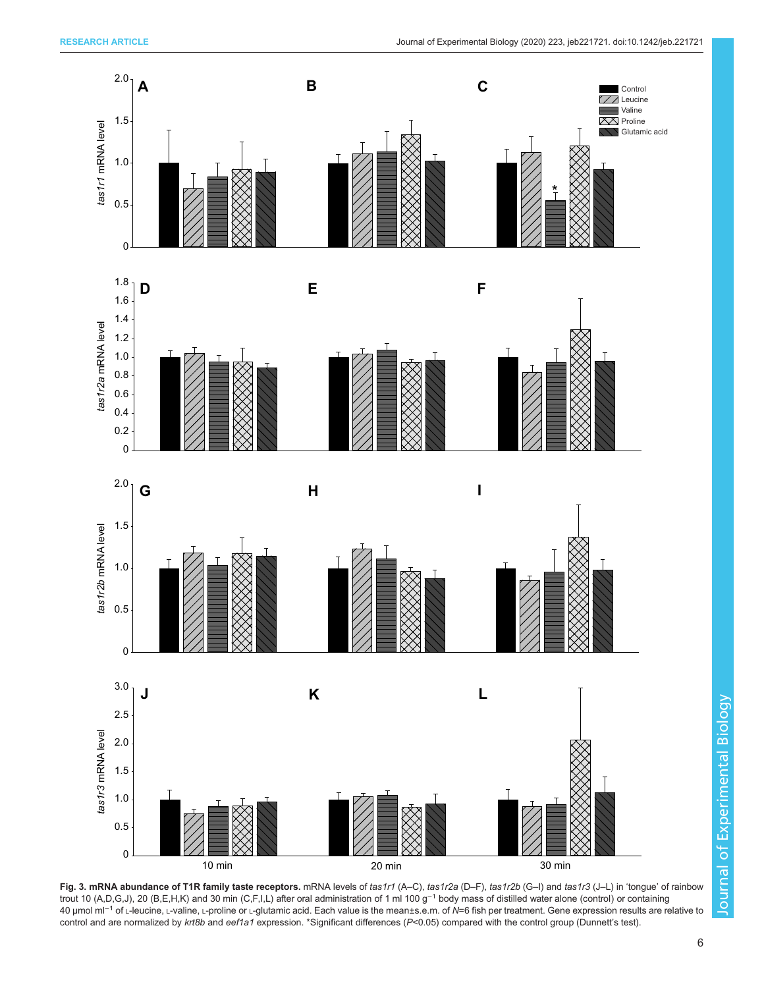<span id="page-5-0"></span>







Fig. 3. mRNA abundance of T1R family taste receptors. mRNA levels of tas1r1 (A–C), tas1r2a (D–F), tas1r2b (G–I) and tas1r3 (J–L) in 'tongue' of rainbow trout 10 (A,D,G,J), 20 (B,E,H,K) and 30 min (C,F,I,L) after oral administration of 1 ml 100 g−<sup>1</sup> body mass of distilled water alone (control) or containing 40 µmol ml<sup>-1</sup> of L-leucine, L-valine, L-proline or L-glutamic acid. Each value is the mean±s.e.m. of N=6 fish per treatment. Gene expression results are relative to control and are normalized by krt8b and eef1a1 expression. \*Significant differences (P<0.05) compared with the control group (Dunnett's test).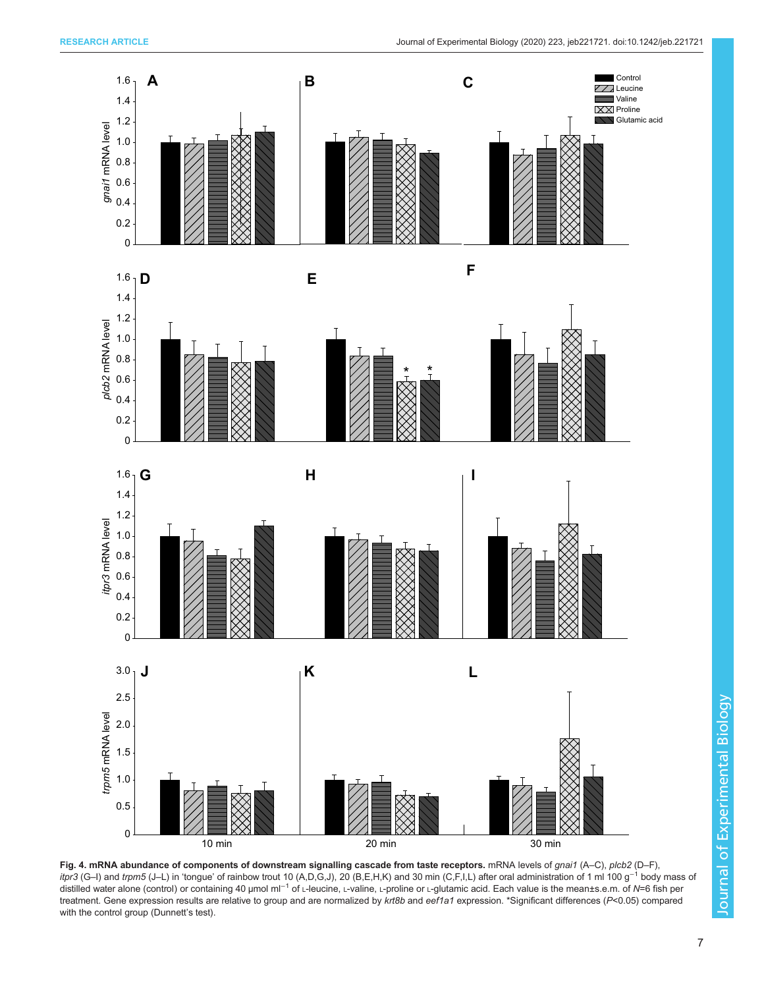<span id="page-6-0"></span>

Fig. 4. mRNA abundance of components of downstream signalling cascade from taste receptors. mRNA levels of gnai1 (A–C), plcb2 (D–F), itpr3 (G–I) and trpm5 (J–L) in 'tongue' of rainbow trout 10 (A,D,G,J), 20 (B,E,H,K) and 30 min (C,F,I,L) after oral administration of 1 ml 100 g<sup>-1</sup> body mass of distilled water alone (control) or containing 40 µmol ml<sup>−1</sup> of ∟-leucine, ∟-valine, ∟-proline or ∟-glutamic acid. Each value is the mean±s.e.m. of N=6 fish per treatment. Gene expression results are relative to group and are normalized by krt8b and eef1a1 expression. \*Significant differences (P<0.05) compared with the control group (Dunnett's test).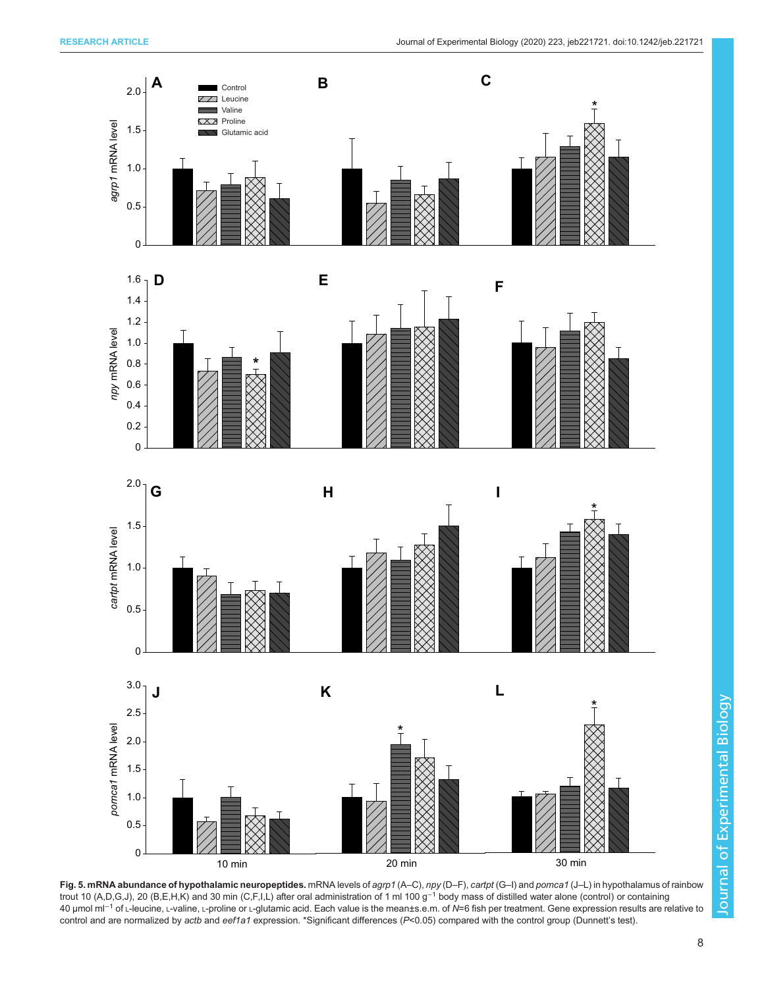<span id="page-7-0"></span>

Fig. 5. mRNA abundance of hypothalamic neuropeptides. mRNA levels of agrp1 (A–C), npy (D–F), cartpt (G–I) and pomca1 (J–L) in hypothalamus of rainbow trout 10 (A,D,G,J), 20 (B,E,H,K) and 30 min (C,F,I,L) after oral administration of 1 ml 100 g−<sup>1</sup> body mass of distilled water alone (control) or containing 40 µmol ml<sup>-1</sup> of L-leucine, L-valine, L-proline or L-glutamic acid. Each value is the mean±s.e.m. of N=6 fish per treatment. Gene expression results are relative to control and are normalized by actb and eef1a1 expression. \*Significant differences (P<0.05) compared with the control group (Dunnett's test).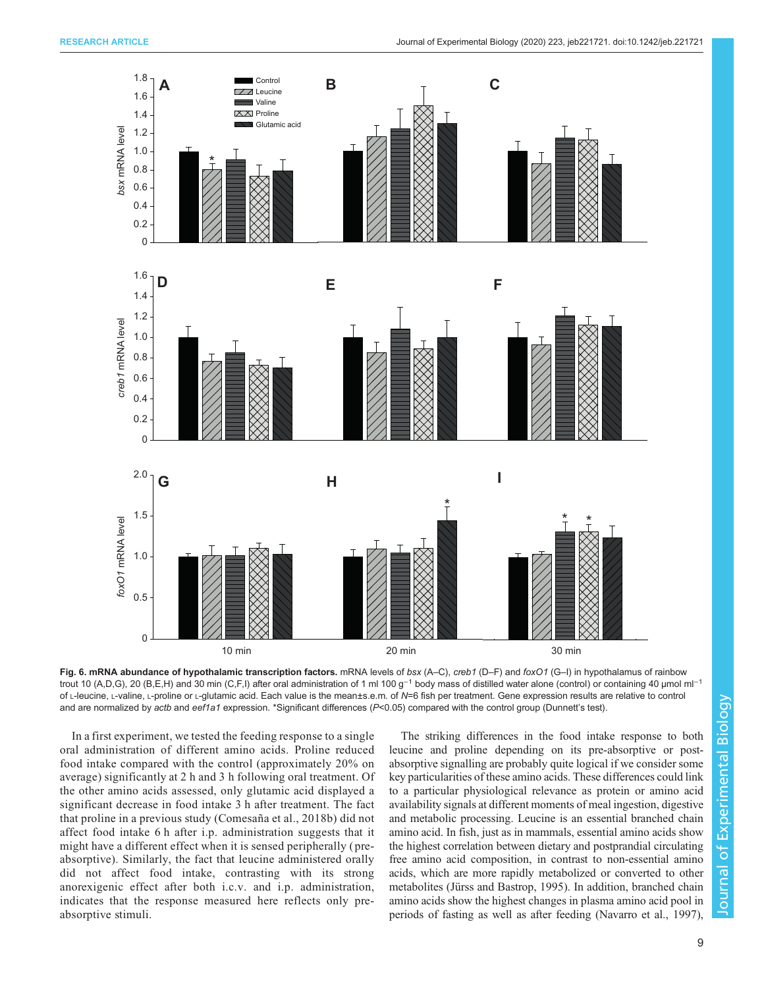<span id="page-8-0"></span>

Fig. 6. mRNA abundance of hypothalamic transcription factors. mRNA levels of bsx (A–C), creb1 (D–F) and foxO1 (G–I) in hypothalamus of rainbow trout 10 (A,D,G), 20 (B,E,H) and 30 min (C,F,I) after oral administration of 1 ml 100 g<sup>-1</sup> body mass of distilled water alone (control) or containing 40 µmol ml<sup>-1</sup> of L-leucine, L-valine, L-proline or L-glutamic acid. Each value is the mean±s.e.m. of N=6 fish per treatment. Gene expression results are relative to control and are normalized by actb and eef1a1 expression. \*Significant differences (P<0.05) compared with the control group (Dunnett's test).

In a first experiment, we tested the feeding response to a single oral administration of different amino acids. Proline reduced food intake compared with the control (approximately 20% on average) significantly at 2 h and 3 h following oral treatment. Of the other amino acids assessed, only glutamic acid displayed a significant decrease in food intake 3 h after treatment. The fact that proline in a previous study ([Comesaña et al., 2018b](#page-13-0)) did not affect food intake 6 h after i.p. administration suggests that it might have a different effect when it is sensed peripherally ( preabsorptive). Similarly, the fact that leucine administered orally did not affect food intake, contrasting with its strong anorexigenic effect after both i.c.v. and i.p. administration, indicates that the response measured here reflects only preabsorptive stimuli.

The striking differences in the food intake response to both leucine and proline depending on its pre-absorptive or postabsorptive signalling are probably quite logical if we consider some key particularities of these amino acids. These differences could link to a particular physiological relevance as protein or amino acid availability signals at different moments of meal ingestion, digestive and metabolic processing. Leucine is an essential branched chain amino acid. In fish, just as in mammals, essential amino acids show the highest correlation between dietary and postprandial circulating free amino acid composition, in contrast to non-essential amino acids, which are more rapidly metabolized or converted to other metabolites [\(Jürss and Bastrop, 1995\)](#page-13-0). In addition, branched chain amino acids show the highest changes in plasma amino acid pool in periods of fasting as well as after feeding [\(Navarro et al., 1997\)](#page-13-0),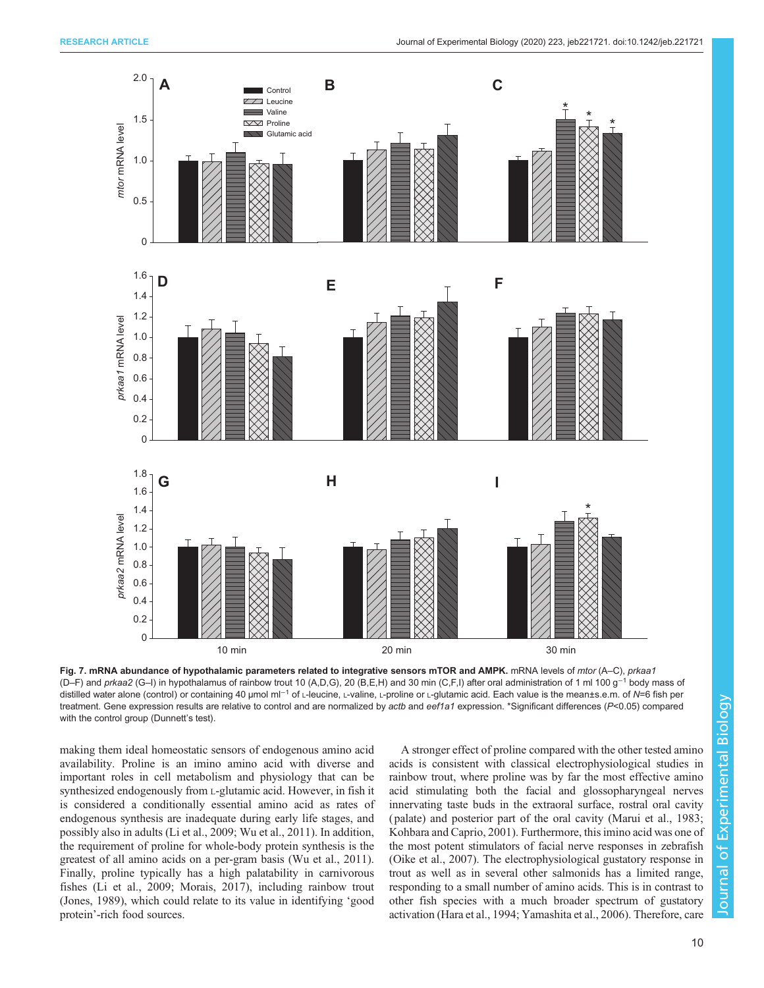<span id="page-9-0"></span>

Fig. 7. mRNA abundance of hypothalamic parameters related to integrative sensors mTOR and AMPK. mRNA levels of mtor (A–C), prkaa1 (D–F) and prkaa2 (G–I) in hypothalamus of rainbow trout 10 (A,D,G), 20 (B,E,H) and 30 min (C,F,I) after oral administration of 1 ml 100 g−<sup>1</sup> body mass of distilled water alone (control) or containing 40 µmol ml<sup>-1</sup> of ∟-leucine, L-valine, L-proline or L-glutamic acid. Each value is the mean±s.e.m. of N=6 fish per treatment. Gene expression results are relative to control and are normalized by actb and eef1a1 expression. \*Significant differences (P<0.05) compared with the control group (Dunnett's test).

making them ideal homeostatic sensors of endogenous amino acid availability. Proline is an imino amino acid with diverse and important roles in cell metabolism and physiology that can be synthesized endogenously from L-glutamic acid. However, in fish it is considered a conditionally essential amino acid as rates of endogenous synthesis are inadequate during early life stages, and possibly also in adults ([Li et al., 2009](#page-13-0); [Wu et al., 2011](#page-14-0)). In addition, the requirement of proline for whole-body protein synthesis is the greatest of all amino acids on a per-gram basis [\(Wu et al., 2011\)](#page-14-0). Finally, proline typically has a high palatability in carnivorous fishes ([Li et al., 2009](#page-13-0); [Morais, 2017\)](#page-13-0), including rainbow trout [\(Jones, 1989](#page-13-0)), which could relate to its value in identifying 'good protein'-rich food sources.

A stronger effect of proline compared with the other tested amino acids is consistent with classical electrophysiological studies in rainbow trout, where proline was by far the most effective amino acid stimulating both the facial and glossopharyngeal nerves innervating taste buds in the extraoral surface, rostral oral cavity ( palate) and posterior part of the oral cavity ([Marui et al., 1983](#page-13-0); [Kohbara and Caprio, 2001](#page-13-0)). Furthermore, this imino acid was one of the most potent stimulators of facial nerve responses in zebrafish [\(Oike et al., 2007\)](#page-14-0). The electrophysiological gustatory response in trout as well as in several other salmonids has a limited range, responding to a small number of amino acids. This is in contrast to other fish species with a much broader spectrum of gustatory activation [\(Hara et al., 1994;](#page-13-0) [Yamashita et al., 2006\)](#page-14-0). Therefore, care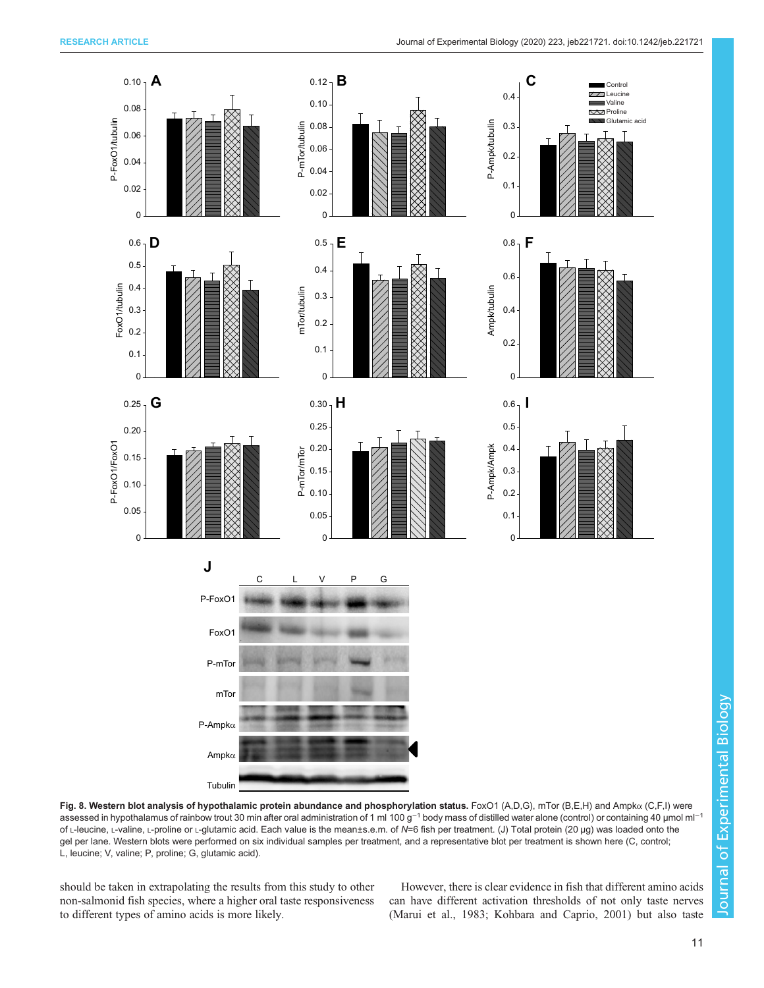<span id="page-10-0"></span>

Fig. 8. Western blot analysis of hypothalamic protein abundance and phosphorylation status. FoxO1 (A,D,G), mTor (B,E,H) and Ampkα (C,F,I) were assessed in hypothalamus of rainbow trout 30 min after oral administration of 1 ml 100 g<sup>-1</sup> body mass of distilled water alone (control) or containing 40 µmol ml<sup>-1</sup> of L-leucine, L-valine, L-proline or L-glutamic acid. Each value is the mean±s.e.m. of N=6 fish per treatment. (J) Total protein (20 µg) was loaded onto the gel per lane. Western blots were performed on six individual samples per treatment, and a representative blot per treatment is shown here (C, control; L, leucine; V, valine; P, proline; G, glutamic acid).

should be taken in extrapolating the results from this study to other non-salmonid fish species, where a higher oral taste responsiveness to different types of amino acids is more likely.

However, there is clear evidence in fish that different amino acids can have different activation thresholds of not only taste nerves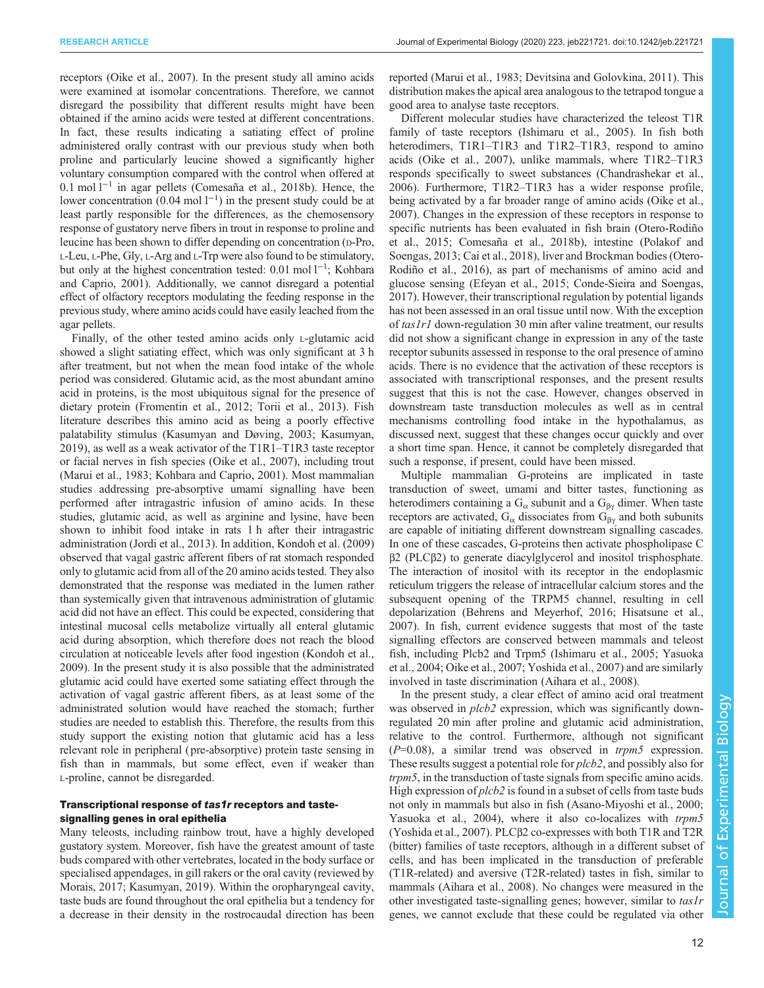receptors [\(Oike et al., 2007\)](#page-14-0). In the present study all amino acids were examined at isomolar concentrations. Therefore, we cannot disregard the possibility that different results might have been obtained if the amino acids were tested at different concentrations. In fact, these results indicating a satiating effect of proline administered orally contrast with our previous study when both proline and particularly leucine showed a significantly higher voluntary consumption compared with the control when offered at 0.1 mol l−<sup>1</sup> in agar pellets [\(Comesaña et al., 2018b\)](#page-13-0). Hence, the lower concentration  $(0.04 \text{ mol } 1^{-1})$  in the present study could be at least partly responsible for the differences, as the chemosensory response of gustatory nerve fibers in trout in response to proline and leucine has been shown to differ depending on concentration (D-Pro, L-Leu, L-Phe, Gly, L-Arg and L-Trp were also found to be stimulatory, but only at the highest concentration tested: 0.01 mol l−<sup>1</sup> ; [Kohbara](#page-13-0) [and Caprio, 2001\)](#page-13-0). Additionally, we cannot disregard a potential effect of olfactory receptors modulating the feeding response in the previous study, where amino acids could have easily leached from the agar pellets.

Finally, of the other tested amino acids only L-glutamic acid showed a slight satiating effect, which was only significant at 3 h after treatment, but not when the mean food intake of the whole period was considered. Glutamic acid, as the most abundant amino acid in proteins, is the most ubiquitous signal for the presence of dietary protein ([Fromentin et al., 2012;](#page-13-0) [Torii et al., 2013](#page-14-0)). Fish literature describes this amino acid as being a poorly effective palatability stimulus [\(Kasumyan and Døving, 2003](#page-13-0); [Kasumyan,](#page-13-0) [2019](#page-13-0)), as well as a weak activator of the T1R1–T1R3 taste receptor or facial nerves in fish species ([Oike et al., 2007](#page-14-0)), including trout [\(Marui et al., 1983](#page-13-0); [Kohbara and Caprio, 2001\)](#page-13-0). Most mammalian studies addressing pre-absorptive umami signalling have been performed after intragastric infusion of amino acids. In these studies, glutamic acid, as well as arginine and lysine, have been shown to inhibit food intake in rats 1 h after their intragastric administration ([Jordi et al., 2013](#page-13-0)). In addition, [Kondoh et al. \(2009\)](#page-13-0) observed that vagal gastric afferent fibers of rat stomach responded only to glutamic acid from all of the 20 amino acids tested. They also demonstrated that the response was mediated in the lumen rather than systemically given that intravenous administration of glutamic acid did not have an effect. This could be expected, considering that intestinal mucosal cells metabolize virtually all enteral glutamic acid during absorption, which therefore does not reach the blood circulation at noticeable levels after food ingestion ([Kondoh et al.,](#page-13-0) [2009](#page-13-0)). In the present study it is also possible that the administrated glutamic acid could have exerted some satiating effect through the activation of vagal gastric afferent fibers, as at least some of the administrated solution would have reached the stomach; further studies are needed to establish this. Therefore, the results from this study support the existing notion that glutamic acid has a less relevant role in peripheral ( pre-absorptive) protein taste sensing in fish than in mammals, but some effect, even if weaker than L-proline, cannot be disregarded.

#### Transcriptional response of tas1r receptors and tastesignalling genes in oral epithelia

Many teleosts, including rainbow trout, have a highly developed gustatory system. Moreover, fish have the greatest amount of taste buds compared with other vertebrates, located in the body surface or specialised appendages, in gill rakers or the oral cavity (reviewed by [Morais, 2017](#page-13-0); [Kasumyan, 2019\)](#page-13-0). Within the oropharyngeal cavity, taste buds are found throughout the oral epithelia but a tendency for a decrease in their density in the rostrocaudal direction has been reported ([Marui et al., 1983](#page-13-0); [Devitsina and Golovkina, 2011](#page-13-0)). This distribution makes the apical area analogous to the tetrapod tongue a good area to analyse taste receptors.

Different molecular studies have characterized the teleost T1R family of taste receptors ([Ishimaru et al., 2005\)](#page-13-0). In fish both heterodimers, T1R1–T1R3 and T1R2–T1R3, respond to amino acids ([Oike et al., 2007\)](#page-14-0), unlike mammals, where T1R2–T1R3 responds specifically to sweet substances [\(Chandrashekar et al.,](#page-13-0) [2006\)](#page-13-0). Furthermore, T1R2–T1R3 has a wider response profile, being activated by a far broader range of amino acids ([Oike et al.,](#page-14-0) [2007\)](#page-14-0). Changes in the expression of these receptors in response to specific nutrients has been evaluated in fish brain ([Otero-Rodiño](#page-14-0) [et al., 2015;](#page-14-0) [Comesaña et al., 2018b](#page-13-0)), intestine [\(Polakof and](#page-14-0) [Soengas, 2013;](#page-14-0) [Cai et al., 2018](#page-13-0)), liver and Brockman bodies ([Otero-](#page-14-0)[Rodiño et al., 2016](#page-14-0)), as part of mechanisms of amino acid and glucose sensing [\(Efeyan et al., 2015; Conde-Sieira and Soengas,](#page-13-0) [2017\)](#page-13-0). However, their transcriptional regulation by potential ligands has not been assessed in an oral tissue until now. With the exception of tas1r1 down-regulation 30 min after valine treatment, our results did not show a significant change in expression in any of the taste receptor subunits assessed in response to the oral presence of amino acids. There is no evidence that the activation of these receptors is associated with transcriptional responses, and the present results suggest that this is not the case. However, changes observed in downstream taste transduction molecules as well as in central mechanisms controlling food intake in the hypothalamus, as discussed next, suggest that these changes occur quickly and over a short time span. Hence, it cannot be completely disregarded that such a response, if present, could have been missed.

Multiple mammalian G-proteins are implicated in taste transduction of sweet, umami and bitter tastes, functioning as heterodimers containing a  $G_{\alpha}$  subunit and a  $G_{\beta\gamma}$  dimer. When taste receptors are activated,  $G_{\alpha}$  dissociates from  $G_{\beta\gamma}$  and both subunits are capable of initiating different downstream signalling cascades. In one of these cascades, G-proteins then activate phospholipase C β2 (PLCβ2) to generate diacylglycerol and inositol trisphosphate. The interaction of inositol with its receptor in the endoplasmic reticulum triggers the release of intracellular calcium stores and the subsequent opening of the TRPM5 channel, resulting in cell depolarization ([Behrens and Meyerhof, 2016](#page-13-0); [Hisatsune et al.,](#page-13-0) [2007\)](#page-13-0). In fish, current evidence suggests that most of the taste signalling effectors are conserved between mammals and teleost fish, including Plcb2 and Trpm5 ([Ishimaru et al., 2005](#page-13-0); [Yasuoka](#page-14-0) [et al., 2004; Oike et al., 2007; Yoshida et al., 2007](#page-14-0)) and are similarly involved in taste discrimination ([Aihara et al., 2008](#page-13-0)).

In the present study, a clear effect of amino acid oral treatment was observed in  $plcb2$  expression, which was significantly downregulated 20 min after proline and glutamic acid administration, relative to the control. Furthermore, although not significant  $(P=0.08)$ , a similar trend was observed in *trpm5* expression. These results suggest a potential role for plcb2, and possibly also for trpm5, in the transduction of taste signals from specific amino acids. High expression of  $plcb2$  is found in a subset of cells from taste buds not only in mammals but also in fish ([Asano-Miyoshi et al., 2000](#page-13-0); [Yasuoka et al., 2004\)](#page-14-0), where it also co-localizes with trpm5 [\(Yoshida et al., 2007](#page-14-0)). PLCβ2 co-expresses with both T1R and T2R (bitter) families of taste receptors, although in a different subset of cells, and has been implicated in the transduction of preferable (T1R-related) and aversive (T2R-related) tastes in fish, similar to mammals ([Aihara et al., 2008](#page-13-0)). No changes were measured in the other investigated taste-signalling genes; however, similar to tas1r genes, we cannot exclude that these could be regulated via other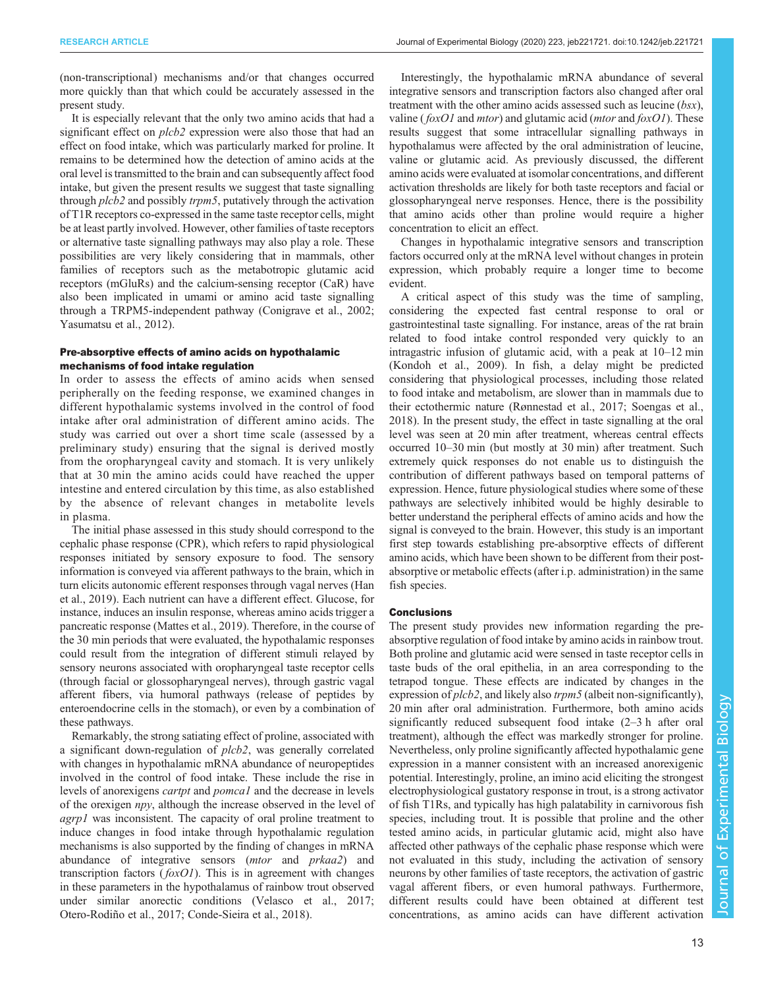(non-transcriptional) mechanisms and/or that changes occurred more quickly than that which could be accurately assessed in the present study.

It is especially relevant that the only two amino acids that had a significant effect on *plcb2* expression were also those that had an effect on food intake, which was particularly marked for proline. It remains to be determined how the detection of amino acids at the oral level is transmitted to the brain and can subsequently affect food intake, but given the present results we suggest that taste signalling through *plcb2* and possibly *trpm5*, putatively through the activation of T1R receptors co-expressed in the same taste receptor cells, might be at least partly involved. However, other families of taste receptors or alternative taste signalling pathways may also play a role. These possibilities are very likely considering that in mammals, other families of receptors such as the metabotropic glutamic acid receptors (mGluRs) and the calcium-sensing receptor (CaR) have also been implicated in umami or amino acid taste signalling through a TRPM5-independent pathway ([Conigrave et al., 2002](#page-13-0); [Yasumatsu et al., 2012\)](#page-14-0).

#### Pre-absorptive effects of amino acids on hypothalamic mechanisms of food intake regulation

In order to assess the effects of amino acids when sensed peripherally on the feeding response, we examined changes in different hypothalamic systems involved in the control of food intake after oral administration of different amino acids. The study was carried out over a short time scale (assessed by a preliminary study) ensuring that the signal is derived mostly from the oropharyngeal cavity and stomach. It is very unlikely that at 30 min the amino acids could have reached the upper intestine and entered circulation by this time, as also established by the absence of relevant changes in metabolite levels in plasma.

The initial phase assessed in this study should correspond to the cephalic phase response (CPR), which refers to rapid physiological responses initiated by sensory exposure to food. The sensory information is conveyed via afferent pathways to the brain, which in turn elicits autonomic efferent responses through vagal nerves [\(Han](#page-13-0) [et al., 2019](#page-13-0)). Each nutrient can have a different effect. Glucose, for instance, induces an insulin response, whereas amino acids trigger a pancreatic response ([Mattes et al., 2019\)](#page-13-0). Therefore, in the course of the 30 min periods that were evaluated, the hypothalamic responses could result from the integration of different stimuli relayed by sensory neurons associated with oropharyngeal taste receptor cells (through facial or glossopharyngeal nerves), through gastric vagal afferent fibers, via humoral pathways (release of peptides by enteroendocrine cells in the stomach), or even by a combination of these pathways.

Remarkably, the strong satiating effect of proline, associated with a significant down-regulation of *plcb2*, was generally correlated with changes in hypothalamic mRNA abundance of neuropeptides involved in the control of food intake. These include the rise in levels of anorexigens cartpt and pomca1 and the decrease in levels of the orexigen npy, although the increase observed in the level of agrp1 was inconsistent. The capacity of oral proline treatment to induce changes in food intake through hypothalamic regulation mechanisms is also supported by the finding of changes in mRNA abundance of integrative sensors (mtor and prkaa2) and transcription factors  $(foxO1)$ . This is in agreement with changes in these parameters in the hypothalamus of rainbow trout observed under similar anorectic conditions [\(Velasco et al., 2017](#page-14-0); [Otero-Rodiño et al., 2017](#page-14-0); [Conde-Sieira et al., 2018\)](#page-13-0).

Interestingly, the hypothalamic mRNA abundance of several integrative sensors and transcription factors also changed after oral treatment with the other amino acids assessed such as leucine  $(bsx)$ , valine ( $f(xO1$  and *mtor*) and glutamic acid (*mtor* and  $f(xO1)$ ). These results suggest that some intracellular signalling pathways in hypothalamus were affected by the oral administration of leucine, valine or glutamic acid. As previously discussed, the different amino acids were evaluated at isomolar concentrations, and different activation thresholds are likely for both taste receptors and facial or glossopharyngeal nerve responses. Hence, there is the possibility that amino acids other than proline would require a higher concentration to elicit an effect.

Changes in hypothalamic integrative sensors and transcription factors occurred only at the mRNA level without changes in protein expression, which probably require a longer time to become evident.

A critical aspect of this study was the time of sampling, considering the expected fast central response to oral or gastrointestinal taste signalling. For instance, areas of the rat brain related to food intake control responded very quickly to an intragastric infusion of glutamic acid, with a peak at 10–12 min [\(Kondoh et al., 2009](#page-13-0)). In fish, a delay might be predicted considering that physiological processes, including those related to food intake and metabolism, are slower than in mammals due to their ectothermic nature [\(Rønnestad et al., 2017; Soengas et al.,](#page-14-0) [2018\)](#page-14-0). In the present study, the effect in taste signalling at the oral level was seen at 20 min after treatment, whereas central effects occurred 10–30 min (but mostly at 30 min) after treatment. Such extremely quick responses do not enable us to distinguish the contribution of different pathways based on temporal patterns of expression. Hence, future physiological studies where some of these pathways are selectively inhibited would be highly desirable to better understand the peripheral effects of amino acids and how the signal is conveyed to the brain. However, this study is an important first step towards establishing pre-absorptive effects of different amino acids, which have been shown to be different from their postabsorptive or metabolic effects (after i.p. administration) in the same fish species.

#### Conclusions

The present study provides new information regarding the preabsorptive regulation of food intake by amino acids in rainbow trout. Both proline and glutamic acid were sensed in taste receptor cells in taste buds of the oral epithelia, in an area corresponding to the tetrapod tongue. These effects are indicated by changes in the expression of *plcb2*, and likely also *trpm5* (albeit non-significantly), 20 min after oral administration. Furthermore, both amino acids significantly reduced subsequent food intake (2–3 h after oral treatment), although the effect was markedly stronger for proline. Nevertheless, only proline significantly affected hypothalamic gene expression in a manner consistent with an increased anorexigenic potential. Interestingly, proline, an imino acid eliciting the strongest electrophysiological gustatory response in trout, is a strong activator of fish T1Rs, and typically has high palatability in carnivorous fish species, including trout. It is possible that proline and the other tested amino acids, in particular glutamic acid, might also have affected other pathways of the cephalic phase response which were not evaluated in this study, including the activation of sensory neurons by other families of taste receptors, the activation of gastric vagal afferent fibers, or even humoral pathways. Furthermore, different results could have been obtained at different test concentrations, as amino acids can have different activation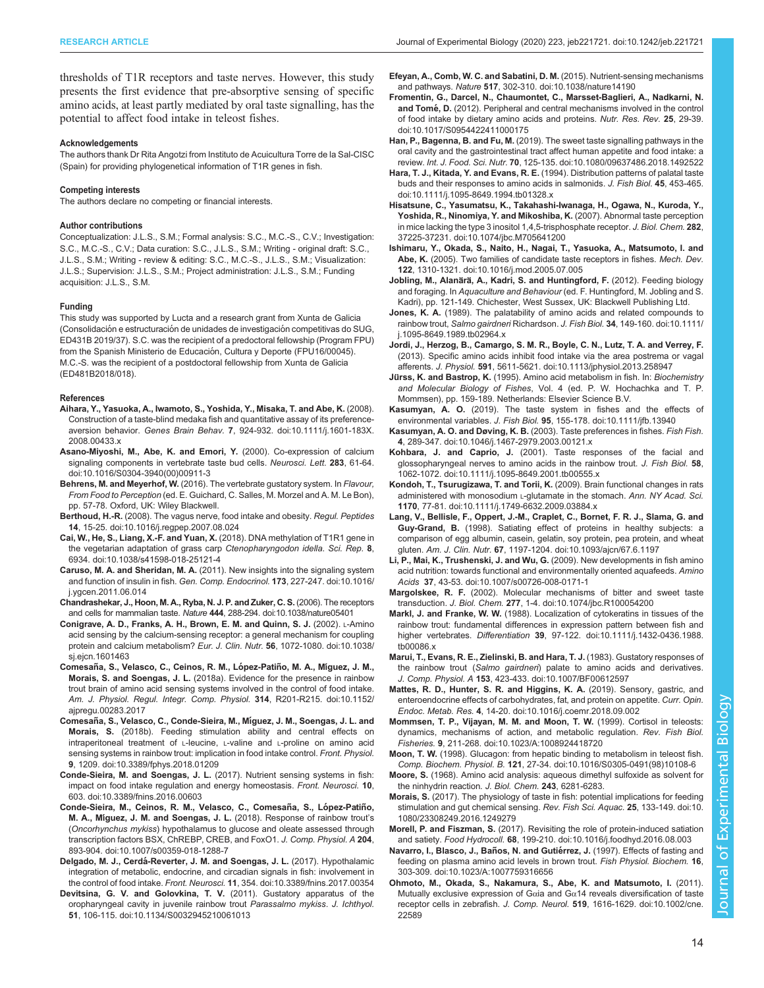<span id="page-13-0"></span>thresholds of T1R receptors and taste nerves. However, this study presents the first evidence that pre-absorptive sensing of specific amino acids, at least partly mediated by oral taste signalling, has the potential to affect food intake in teleost fishes.

#### Acknowledgements

The authors thank Dr Rita Angotzi from Instituto de Acuicultura Torre de la Sal-CISC (Spain) for providing phylogenetical information of T1R genes in fish.

#### Competing interests

The authors declare no competing or financial interests.

#### Author contributions

Conceptualization: J.L.S., S.M.; Formal analysis: S.C., M.C.-S., C.V.; Investigation: S.C., M.C.-S., C.V.; Data curation: S.C., J.L.S., S.M.; Writing - original draft: S.C., J.L.S., S.M.; Writing - review & editing: S.C., M.C.-S., J.L.S., S.M.; Visualization: J.L.S.; Supervision: J.L.S., S.M.; Project administration: J.L.S., S.M.; Funding acquisition: J.L.S., S.M.

#### Funding

This study was supported by Lucta and a research grant from Xunta de Galicia (Consolidación e estructuración de unidades de investigación competitivas do SUG, ED431B 2019/37). S.C. was the recipient of a predoctoral fellowship (Program FPU) from the Spanish Ministerio de Educación, Cultura y Deporte (FPU16/00045). M.C.-S. was the recipient of a postdoctoral fellowship from Xunta de Galicia (ED481B2018/018).

#### References

- [Aihara, Y., Yasuoka, A., Iwamoto, S., Yoshida, Y., Misaka, T. and Abe, K.](https://doi.org/10.1111/j.1601-183X.2008.00433.x) (2008). [Construction of a taste-blind medaka fish and quantitative assay of its preference](https://doi.org/10.1111/j.1601-183X.2008.00433.x)aversion behavior. Genes Brain Behav. 7[, 924-932. doi:10.1111/j.1601-183X.](https://doi.org/10.1111/j.1601-183X.2008.00433.x) [2008.00433.x](https://doi.org/10.1111/j.1601-183X.2008.00433.x)
- [Asano-Miyoshi, M., Abe, K. and Emori, Y.](https://doi.org/10.1016/S0304-3940(00)00911-3) (2000). Co-expression of calcium [signaling components in vertebrate taste bud cells.](https://doi.org/10.1016/S0304-3940(00)00911-3) Neurosci. Lett. 283, 61-64. [doi:10.1016/S0304-3940\(00\)00911-3](https://doi.org/10.1016/S0304-3940(00)00911-3)
- Behrens, M. and Meyerhof, W. (2016). The vertebrate gustatory system. In Flavour, From Food to Perception (ed. E. Guichard, C. Salles, M. Morzel and A. M. Le Bon), pp. 57-78. Oxford, UK: Wiley Blackwell.
- Berthoud, H.-R. [\(2008\). The vagus nerve, food intake and obesity.](https://doi.org/10.1016/j.regpep.2007.08.024) Regul. Peptides 14[, 15-25. doi:10.1016/j.regpep.2007.08.024](https://doi.org/10.1016/j.regpep.2007.08.024)
- [Cai, W., He, S., Liang, X.-F. and Yuan, X.](https://doi.org/10.1038/s41598-018-25121-4) (2018). DNA methylation of T1R1 gene in [the vegetarian adaptation of grass carp](https://doi.org/10.1038/s41598-018-25121-4) Ctenopharyngodon idella. Sci. Rep. 8, [6934. doi:10.1038/s41598-018-25121-4](https://doi.org/10.1038/s41598-018-25121-4)
- Caruso, M. A. and Sheridan, M. A. [\(2011\). New insights into the signaling system](https://doi.org/10.1016/j.ygcen.2011.06.014) [and function of insulin in fish.](https://doi.org/10.1016/j.ygcen.2011.06.014) Gen. Comp. Endocrinol. 173, 227-247. doi:10.1016/ [j.ygcen.2011.06.014](https://doi.org/10.1016/j.ygcen.2011.06.014)
- [Chandrashekar, J., Hoon, M. A., Ryba, N. J. P. and Zuker, C. S.](https://doi.org/10.1038/nature05401) (2006). The receptors and cells for mammalian taste. Nature 444[, 288-294. doi:10.1038/nature05401](https://doi.org/10.1038/nature05401)
- [Conigrave, A. D., Franks, A. H., Brown, E. M. and Quinn, S. J.](https://doi.org/10.1038/sj.ejcn.1601463) (2002). L-Amino [acid sensing by the calcium-sensing receptor: a general mechanism for coupling](https://doi.org/10.1038/sj.ejcn.1601463) [protein and calcium metabolism?](https://doi.org/10.1038/sj.ejcn.1601463) Eur. J. Clin. Nutr. 56, 1072-1080. doi:10.1038/ [sj.ejcn.1601463](https://doi.org/10.1038/sj.ejcn.1601463)
- Comesaña, S., Velasco, C., Ceinos, R. M., López-Patiño, M. A., Míguez, J. M., Morais, S. and Soengas, J. L. [\(2018a\). Evidence for the presence in rainbow](https://doi.org/10.1152/ajpregu.00283.2017) [trout brain of amino acid sensing systems involved in the control of food intake.](https://doi.org/10.1152/ajpregu.00283.2017) [Am. J. Physiol. Regul. Integr. Comp. Physiol.](https://doi.org/10.1152/ajpregu.00283.2017) 314, R201-R215. doi:10.1152/ [ajpregu.00283.2017](https://doi.org/10.1152/ajpregu.00283.2017)
- Comesañ[a, S., Velasco, C., Conde-Sieira, M., M](https://doi.org/10.3389/fphys.2018.01209)íguez, J. M., Soengas, J. L. and Morais, S. [\(2018b\). Feeding stimulation ability and central effects on](https://doi.org/10.3389/fphys.2018.01209) [intraperitoneal treatment of](https://doi.org/10.3389/fphys.2018.01209) L-leucine, L-valine and L-proline on amino acid [sensing systems in rainbow trout: implication in food intake control.](https://doi.org/10.3389/fphys.2018.01209) Front. Physiol. 9[, 1209. doi:10.3389/fphys.2018.01209](https://doi.org/10.3389/fphys.2018.01209)
- Conde-Sieira, M. and Soengas, J. L. [\(2017\). Nutrient sensing systems in fish:](https://doi.org/10.3389/fnins.2016.00603) [impact on food intake regulation and energy homeostasis.](https://doi.org/10.3389/fnins.2016.00603) Front. Neurosci. 10, [603. doi:10.3389/fnins.2016.00603](https://doi.org/10.3389/fnins.2016.00603)
- Conde-Sieira, M., Ceinos, R. M., Velasco, C., Comesaña, S., López-Patiño, M. A., Miguez, J. M. and Soengas, J. L. [\(2018\). Response of rainbow trout](https://doi.org/10.1007/s00359-018-1288-7)'s (Oncorhynchus mykiss[\) hypothalamus to glucose and oleate assessed through](https://doi.org/10.1007/s00359-018-1288-7) [transcription factors BSX, ChREBP, CREB, and FoxO1.](https://doi.org/10.1007/s00359-018-1288-7) J. Comp. Physiol. A 204, [893-904. doi:10.1007/s00359-018-1288-7](https://doi.org/10.1007/s00359-018-1288-7)
- Delgado, M. J., Cerdá[-Reverter, J. M. and Soengas, J. L.](https://doi.org/10.3389/fnins.2017.00354) (2017). Hypothalamic [integration of metabolic, endocrine, and circadian signals in fish: involvement in](https://doi.org/10.3389/fnins.2017.00354) the control of food intake. Front. Neurosci. 11[, 354. doi:10.3389/fnins.2017.00354](https://doi.org/10.3389/fnins.2017.00354)
- [Devitsina, G. V. and Golovkina, T. V.](https://doi.org/10.1134/S0032945210061013) (2011). Gustatory apparatus of the [oropharyngeal cavity in juvenile rainbow trout](https://doi.org/10.1134/S0032945210061013) Parassalmo mykiss. J. Ichthyol. 51[, 106-115. doi:10.1134/S0032945210061013](https://doi.org/10.1134/S0032945210061013)
- [Efeyan, A., Comb, W. C. and Sabatini, D. M.](https://doi.org/10.1038/nature14190) (2015). Nutrient-sensing mechanisms and pathways. Nature 517[, 302-310. doi:10.1038/nature14190](https://doi.org/10.1038/nature14190)
- [Fromentin, G., Darcel, N., Chaumontet, C., Marsset-Baglieri, A., Nadkarni, N.](https://doi.org/10.1017/S0954422411000175) and Tomé, D. [\(2012\). Peripheral and central mechanisms involved in the control](https://doi.org/10.1017/S0954422411000175) [of food intake by dietary amino acids and proteins.](https://doi.org/10.1017/S0954422411000175) Nutr. Res. Rev. 25, 29-39. [doi:10.1017/S0954422411000175](https://doi.org/10.1017/S0954422411000175)
- Han, P., Bagenna, B. and Fu, M. [\(2019\). The sweet taste signalling pathways in the](https://doi.org/10.1080/09637486.2018.1492522) [oral cavity and the gastrointestinal tract affect human appetite and food intake: a](https://doi.org/10.1080/09637486.2018.1492522) review. Int. J. Food. Sci. Nutr. 70[, 125-135. doi:10.1080/09637486.2018.1492522](https://doi.org/10.1080/09637486.2018.1492522)
- Hara, T. J., Kitada, Y. and Evans, R. E. [\(1994\). Distribution patterns of palatal taste](https://doi.org/10.1111/j.1095-8649.1994.tb01328.x) [buds and their responses to amino acids in salmonids.](https://doi.org/10.1111/j.1095-8649.1994.tb01328.x) J. Fish Biol. 45, 453-465. [doi:10.1111/j.1095-8649.1994.tb01328.x](https://doi.org/10.1111/j.1095-8649.1994.tb01328.x)
- [Hisatsune, C., Yasumatsu, K., Takahashi-Iwanaga, H., Ogawa, N., Kuroda, Y.,](https://doi.org/10.1074/jbc.M705641200) [Yoshida, R., Ninomiya, Y. and Mikoshiba, K.](https://doi.org/10.1074/jbc.M705641200) (2007). Abnormal taste perception [in mice lacking the type 3 inositol 1,4,5-trisphosphate receptor.](https://doi.org/10.1074/jbc.M705641200) J. Biol. Chem. 282, [37225-37231. doi:10.1074/jbc.M705641200](https://doi.org/10.1074/jbc.M705641200)
- [Ishimaru, Y., Okada, S., Naito, H., Nagai, T., Yasuoka, A., Matsumoto, I. and](https://doi.org/10.1016/j.mod.2005.07.005) Abe, K. [\(2005\). Two families of candidate taste receptors in fishes.](https://doi.org/10.1016/j.mod.2005.07.005) Mech. Dev. 122[, 1310-1321. doi:10.1016/j.mod.2005.07.005](https://doi.org/10.1016/j.mod.2005.07.005)
- Jobling, M., Alanärä, A., Kadri, S. and Huntingford, F. (2012). Feeding biology and foraging. In Aquaculture and Behaviour (ed. F. Huntingford, M. Jobling and S. Kadri), pp. 121-149. Chichester, West Sussex, UK: Blackwell Publishing Ltd.
- Jones, K. A. [\(1989\). The palatability of amino acids and related compounds to](https://doi.org/10.1111/j.1095-8649.1989.tb02964.x) rainbow trout, Salmo gairdneri Richardson. J. Fish Biol. 34[, 149-160. doi:10.1111/](https://doi.org/10.1111/j.1095-8649.1989.tb02964.x) [j.1095-8649.1989.tb02964.x](https://doi.org/10.1111/j.1095-8649.1989.tb02964.x)
- [Jordi, J., Herzog, B., Camargo, S. M. R., Boyle, C. N., Lutz, T. A. and Verrey, F.](https://doi.org/10.1113/jphysiol.2013.258947) [\(2013\). Specific amino acids inhibit food intake via the area postrema or vagal](https://doi.org/10.1113/jphysiol.2013.258947) afferents. J. Physiol. 591[, 5611-5621. doi:10.1113/jphysiol.2013.258947](https://doi.org/10.1113/jphysiol.2013.258947)
- Jürss, K. and Bastrop, K. (1995). Amino acid metabolism in fish. In: Biochemistry and Molecular Biology of Fishes, Vol. 4 (ed. P. W. Hochachka and T. P. Mommsen), pp. 159-189. Netherlands: Elsevier Science B.V.
- Kasumyan, A. O. [\(2019\). The taste system in fishes and the effects of](https://doi.org/10.1111/jfb.13940) environmental variables. J. Fish Biol. 95[, 155-178. doi:10.1111/jfb.13940](https://doi.org/10.1111/jfb.13940)
- [Kasumyan, A. O. and Døving, K. B.](https://doi.org/10.1046/j.1467-2979.2003.00121.x) (2003). Taste preferences in fishes. Fish Fish. 4[, 289-347. doi:10.1046/j.1467-2979.2003.00121.x](https://doi.org/10.1046/j.1467-2979.2003.00121.x)
- Kohbara, J. and Caprio, J. [\(2001\). Taste responses of the facial and](https://doi.org/10.1111/j.1095-8649.2001.tb00555.x) [glossopharyngeal nerves to amino acids in the rainbow trout.](https://doi.org/10.1111/j.1095-8649.2001.tb00555.x) J. Fish Biol. 58, [1062-1072. doi:10.1111/j.1095-8649.2001.tb00555.x](https://doi.org/10.1111/j.1095-8649.2001.tb00555.x)
- [Kondoh, T., Tsurugizawa, T. and Torii, K.](https://doi.org/10.1111/j.1749-6632.2009.03884.x) (2009). Brain functional changes in rats [administered with monosodium](https://doi.org/10.1111/j.1749-6632.2009.03884.x) L-glutamate in the stomach. Ann. NY Acad. Sci. 1170[, 77-81. doi:10.1111/j.1749-6632.2009.03884.x](https://doi.org/10.1111/j.1749-6632.2009.03884.x)
- [Lang, V., Bellisle, F., Oppert, J.-M., Craplet, C., Bornet, F. R. J., Slama, G. and](https://doi.org/10.1093/ajcn/67.6.1197) Guy-Grand, B. [\(1998\). Satiating effect of proteins in healthy subjects: a](https://doi.org/10.1093/ajcn/67.6.1197) [comparison of egg albumin, casein, gelatin, soy protein, pea protein, and wheat](https://doi.org/10.1093/ajcn/67.6.1197) gluten. Am. J. Clin. Nutr. 67[, 1197-1204. doi:10.1093/ajcn/67.6.1197](https://doi.org/10.1093/ajcn/67.6.1197)
- [Li, P., Mai, K., Trushenski, J. and Wu, G.](https://doi.org/10.1007/s00726-008-0171-1) (2009). New developments in fish amino [acid nutrition: towards functional and environmentally oriented aquafeeds.](https://doi.org/10.1007/s00726-008-0171-1) Amino Acids 37[, 43-53. doi:10.1007/s00726-008-0171-1](https://doi.org/10.1007/s00726-008-0171-1)
- Margolskee, R. F. [\(2002\). Molecular mechanisms of bitter and sweet taste](https://doi.org/10.1074/jbc.R100054200) transduction. J. Biol. Chem. 277[, 1-4. doi:10.1074/jbc.R100054200](https://doi.org/10.1074/jbc.R100054200)
- Markl, J. and Franke, W. W. [\(1988\). Localization of cytokeratins in tissues of the](https://doi.org/10.1111/j.1432-0436.1988.tb00086.x) [rainbow trout: fundamental differences in expression pattern between fish and](https://doi.org/10.1111/j.1432-0436.1988.tb00086.x) higher vertebrates. Differentiation 39[, 97-122. doi:10.1111/j.1432-0436.1988.](https://doi.org/10.1111/j.1432-0436.1988.tb00086.x) [tb00086.x](https://doi.org/10.1111/j.1432-0436.1988.tb00086.x)
- [Marui, T., Evans, R. E., Zielinski, B. and Hara, T. J.](https://doi.org/10.1007/BF00612597) (1983). Gustatory responses of the rainbow trout (Salmo gairdneri[\) palate to amino acids and derivatives.](https://doi.org/10.1007/BF00612597) J. Comp. Physiol. A 153[, 423-433. doi:10.1007/BF00612597](https://doi.org/10.1007/BF00612597)
- [Mattes, R. D., Hunter, S. R. and Higgins, K. A.](https://doi.org/10.1016/j.coemr.2018.09.002) (2019). Sensory, gastric, and [enteroendocrine effects of carbohydrates, fat, and protein on appetite.](https://doi.org/10.1016/j.coemr.2018.09.002) Curr. Opin. Endoc. Metab. Res. 4[, 14-20. doi:10.1016/j.coemr.2018.09.002](https://doi.org/10.1016/j.coemr.2018.09.002)
- [Mommsen, T. P., Vijayan, M. M. and Moon, T. W.](https://doi.org/10.1023/A:1008924418720) (1999). Cortisol in teleosts: [dynamics, mechanisms of action, and metabolic regulation.](https://doi.org/10.1023/A:1008924418720) Rev. Fish Biol. Fisheries. 9[, 211-268. doi:10.1023/A:1008924418720](https://doi.org/10.1023/A:1008924418720)
- Moon, T. W. [\(1998\). Glucagon: from hepatic binding to metabolism in teleost fish.](https://doi.org/10.1016/S0305-0491(98)10108-6) Comp. Biochem. Physiol. B. 121[, 27-34. doi:10.1016/S0305-0491\(98\)10108-6](https://doi.org/10.1016/S0305-0491(98)10108-6)
- Moore, S. (1968). Amino acid analysis: aqueous dimethyl sulfoxide as solvent for the ninhydrin reaction. J. Biol. Chem. 243, 6281-6283.
- Morais, S. [\(2017\). The physiology of taste in fish: potential implications for feeding](https://doi.org/10.1080/23308249.2016.1249279) [stimulation and gut chemical sensing.](https://doi.org/10.1080/23308249.2016.1249279) Rev. Fish Sci. Aquac. 25, 133-149. doi:10. [1080/23308249.2016.1249279](https://doi.org/10.1080/23308249.2016.1249279)
- Morell, P. and Fiszman, S. [\(2017\). Revisiting the role of protein-induced satiation](https://doi.org/10.1016/j.foodhyd.2016.08.003) and satiety. Food Hydrocoll. 68[, 199-210. doi:10.1016/j.foodhyd.2016.08.003](https://doi.org/10.1016/j.foodhyd.2016.08.003)
- Navarro, I., Blasco, J., Baños, N. and Gutiérrez, J. [\(1997\). Effects of fasting and](https://doi.org/10.1023/A:1007759316656) [feeding on plasma amino acid levels in brown trout.](https://doi.org/10.1023/A:1007759316656) Fish Physiol. Biochem. 16, [303-309. doi:10.1023/A:1007759316656](https://doi.org/10.1023/A:1007759316656)
- [Ohmoto, M., Okada, S., Nakamura, S., Abe, K. and Matsumoto, I.](https://doi.org/10.1002/cne.22589) (2011). [Mutually exclusive expression of G](https://doi.org/10.1002/cne.22589) $\alpha$ ia and G $\alpha$ 14 reveals diversification of taste receptor cells in zebrafish. J. Comp. Neurol. 519[, 1616-1629. doi:10.1002/cne.](https://doi.org/10.1002/cne.22589) [22589](https://doi.org/10.1002/cne.22589)

Biology